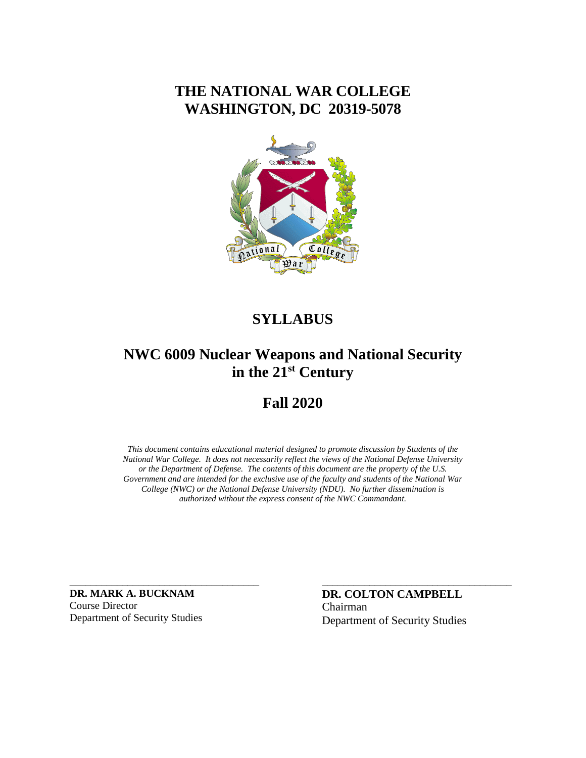## **THE NATIONAL WAR COLLEGE WASHINGTON, DC 20319-5078**



## **SYLLABUS**

## **NWC 6009 Nuclear Weapons and National Security in the 21st Century**

## **Fall 2020**

*This document contains educational material designed to promote discussion by Students of the National War College. It does not necessarily reflect the views of the National Defense University or the Department of Defense. The contents of this document are the property of the U.S. Government and are intended for the exclusive use of the faculty and students of the National War College (NWC) or the National Defense University (NDU). No further dissemination is authorized without the express consent of the NWC Commandant.*

**DR. MARK A. BUCKNAM** Course Director Department of Security Studies

\_\_\_\_\_\_\_\_\_\_\_\_\_\_\_\_\_\_\_\_\_\_\_\_\_\_\_\_\_\_\_\_\_\_\_\_

**DR. COLTON CAMPBELL** Chairman Department of Security Studies

\_\_\_\_\_\_\_\_\_\_\_\_\_\_\_\_\_\_\_\_\_\_\_\_\_\_\_\_\_\_\_\_\_\_\_\_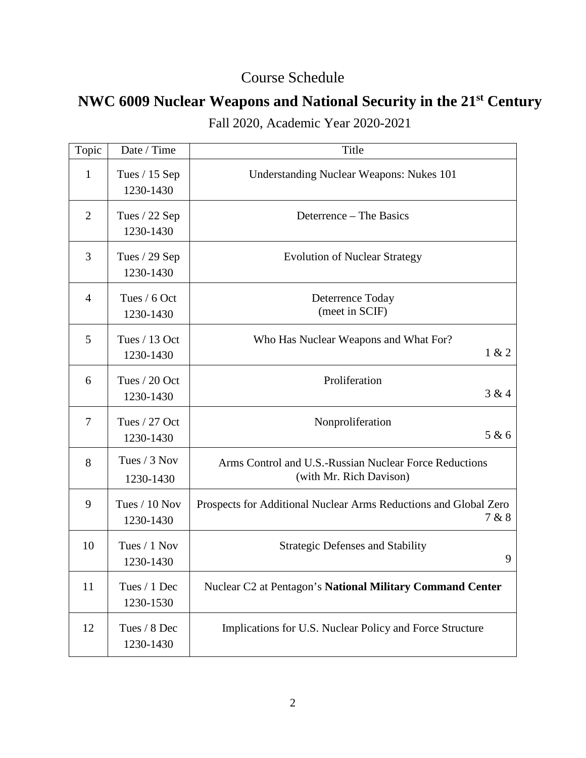## Course Schedule

# **NWC 6009 Nuclear Weapons and National Security in the 21st Century**

| Topic          | Date / Time                  | Title                                                                             |
|----------------|------------------------------|-----------------------------------------------------------------------------------|
| 1              | Tues $/$ 15 Sep<br>1230-1430 | <b>Understanding Nuclear Weapons: Nukes 101</b>                                   |
| $\overline{2}$ | Tues $/$ 22 Sep<br>1230-1430 | Deterrence – The Basics                                                           |
| 3              | Tues $/$ 29 Sep<br>1230-1430 | <b>Evolution of Nuclear Strategy</b>                                              |
| $\overline{4}$ | Tues / 6 Oct<br>1230-1430    | Deterrence Today<br>(meet in SCIF)                                                |
| 5              | Tues / 13 Oct<br>1230-1430   | Who Has Nuclear Weapons and What For?<br>1 & 2                                    |
| 6              | Tues / 20 Oct<br>1230-1430   | Proliferation<br>3 & 4                                                            |
| $\overline{7}$ | Tues / 27 Oct<br>1230-1430   | Nonproliferation<br>5 & 6                                                         |
| 8              | Tues / 3 Nov<br>1230-1430    | Arms Control and U.S.-Russian Nuclear Force Reductions<br>(with Mr. Rich Davison) |
| 9              | Tues / 10 Nov<br>1230-1430   | Prospects for Additional Nuclear Arms Reductions and Global Zero<br>7 & 8         |
| 10             | Tues / 1 Nov<br>1230-1430    | <b>Strategic Defenses and Stability</b><br>9                                      |
| 11             | Tues / 1 Dec<br>1230-1530    | Nuclear C2 at Pentagon's National Military Command Center                         |
| 12             | Tues / 8 Dec<br>1230-1430    | Implications for U.S. Nuclear Policy and Force Structure                          |

Fall 2020, Academic Year 2020-2021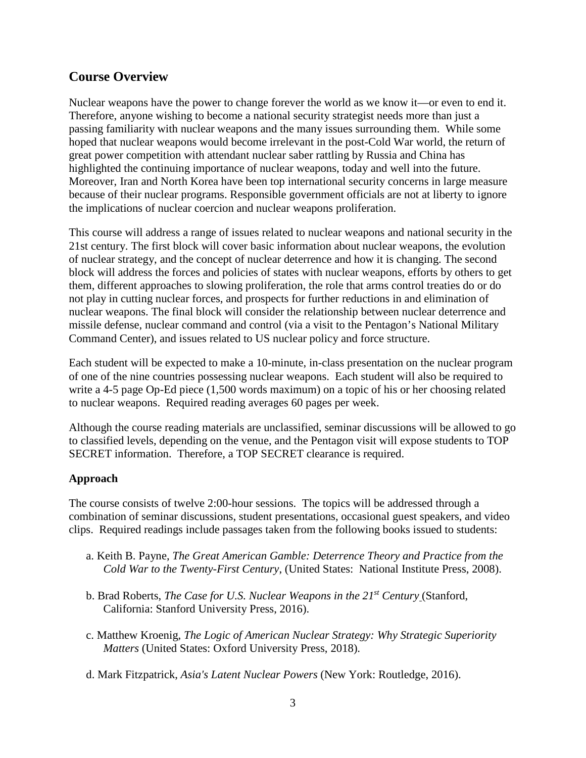## **Course Overview**

Nuclear weapons have the power to change forever the world as we know it—or even to end it. Therefore, anyone wishing to become a national security strategist needs more than just a passing familiarity with nuclear weapons and the many issues surrounding them. While some hoped that nuclear weapons would become irrelevant in the post-Cold War world, the return of great power competition with attendant nuclear saber rattling by Russia and China has highlighted the continuing importance of nuclear weapons, today and well into the future. Moreover, Iran and North Korea have been top international security concerns in large measure because of their nuclear programs. Responsible government officials are not at liberty to ignore the implications of nuclear coercion and nuclear weapons proliferation.

This course will address a range of issues related to nuclear weapons and national security in the 21st century. The first block will cover basic information about nuclear weapons, the evolution of nuclear strategy, and the concept of nuclear deterrence and how it is changing. The second block will address the forces and policies of states with nuclear weapons, efforts by others to get them, different approaches to slowing proliferation, the role that arms control treaties do or do not play in cutting nuclear forces, and prospects for further reductions in and elimination of nuclear weapons. The final block will consider the relationship between nuclear deterrence and missile defense, nuclear command and control (via a visit to the Pentagon's National Military Command Center), and issues related to US nuclear policy and force structure.

Each student will be expected to make a 10-minute, in-class presentation on the nuclear program of one of the nine countries possessing nuclear weapons. Each student will also be required to write a 4-5 page Op-Ed piece  $(1,500$  words maximum) on a topic of his or her choosing related to nuclear weapons. Required reading averages 60 pages per week.

Although the course reading materials are unclassified, seminar discussions will be allowed to go to classified levels, depending on the venue, and the Pentagon visit will expose students to TOP SECRET information. Therefore, a TOP SECRET clearance is required.

### **Approach**

The course consists of twelve 2:00-hour sessions. The topics will be addressed through a combination of seminar discussions, student presentations, occasional guest speakers, and video clips. Required readings include passages taken from the following books issued to students:

- a. Keith B. Payne, *The Great American Gamble: Deterrence Theory and Practice from the Cold War to the Twenty-First Century*, (United States: National Institute Press, 2008).
- b. Brad Roberts, *The Case for U.S. Nuclear Weapons in the 21st Century* (Stanford, California: Stanford University Press, 2016).
- c. Matthew Kroenig, *The Logic of American Nuclear Strategy: Why Strategic Superiority Matters* (United States: Oxford University Press, 2018).
- d. Mark Fitzpatrick, *Asia's Latent Nuclear Powers* (New York: Routledge, 2016).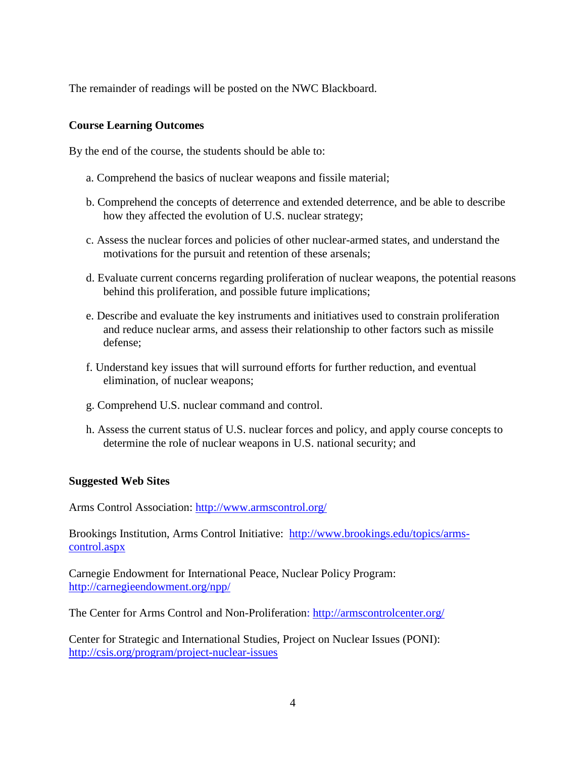The remainder of readings will be posted on the NWC Blackboard.

#### **Course Learning Outcomes**

By the end of the course, the students should be able to:

- a. Comprehend the basics of nuclear weapons and fissile material;
- b. Comprehend the concepts of deterrence and extended deterrence, and be able to describe how they affected the evolution of U.S. nuclear strategy;
- c. Assess the nuclear forces and policies of other nuclear-armed states, and understand the motivations for the pursuit and retention of these arsenals;
- d. Evaluate current concerns regarding proliferation of nuclear weapons, the potential reasons behind this proliferation, and possible future implications;
- e. Describe and evaluate the key instruments and initiatives used to constrain proliferation and reduce nuclear arms, and assess their relationship to other factors such as missile defense;
- f. Understand key issues that will surround efforts for further reduction, and eventual elimination, of nuclear weapons;
- g. Comprehend U.S. nuclear command and control.
- h. Assess the current status of U.S. nuclear forces and policy, and apply course concepts to determine the role of nuclear weapons in U.S. national security; and

#### **Suggested Web Sites**

Arms Control Association:<http://www.armscontrol.org/>

Brookings Institution, Arms Control Initiative: [http://www.brookings.edu/topics/arms](http://www.brookings.edu/topics/arms-control.aspx)[control.aspx](http://www.brookings.edu/topics/arms-control.aspx)

Carnegie Endowment for International Peace, Nuclear Policy Program: <http://carnegieendowment.org/npp/>

The Center for Arms Control and Non-Proliferation:<http://armscontrolcenter.org/>

Center for Strategic and International Studies, Project on Nuclear Issues (PONI): <http://csis.org/program/project-nuclear-issues>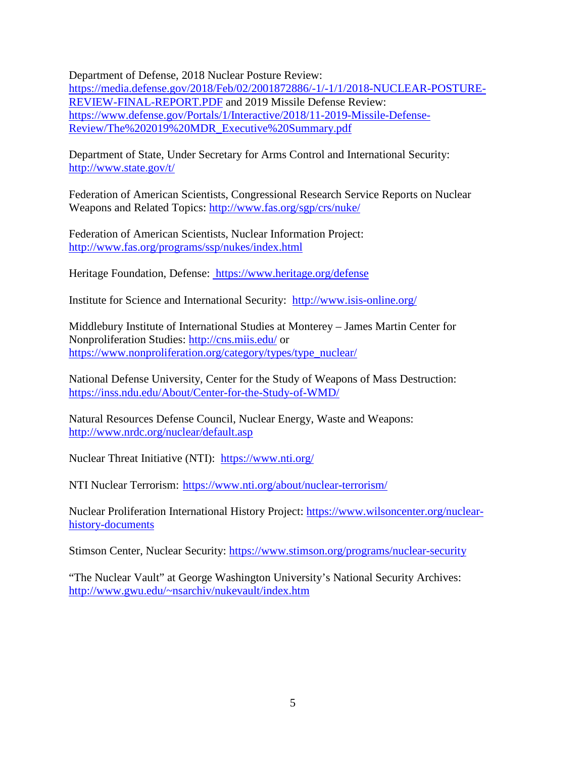Department of Defense, 2018 Nuclear Posture Review:

[https://media.defense.gov/2018/Feb/02/2001872886/-1/-1/1/2018-NUCLEAR-POSTURE-](https://media.defense.gov/2018/Feb/02/2001872886/-1/-1/1/2018-NUCLEAR-POSTURE-REVIEW-FINAL-REPORT.PDF)[REVIEW-FINAL-REPORT.PDF](https://media.defense.gov/2018/Feb/02/2001872886/-1/-1/1/2018-NUCLEAR-POSTURE-REVIEW-FINAL-REPORT.PDF) and 2019 Missile Defense Review: [https://www.defense.gov/Portals/1/Interactive/2018/11-2019-Missile-Defense-](https://www.defense.gov/Portals/1/Interactive/2018/11-2019-Missile-Defense-Review/The%202019%20MDR_Executive%20Summary.pdf)[Review/The%202019%20MDR\\_Executive%20Summary.pdf](https://www.defense.gov/Portals/1/Interactive/2018/11-2019-Missile-Defense-Review/The%202019%20MDR_Executive%20Summary.pdf)

Department of State, Under Secretary for Arms Control and International Security: <http://www.state.gov/t/>

Federation of American Scientists, Congressional Research Service Reports on Nuclear Weapons and Related Topics:<http://www.fas.org/sgp/crs/nuke/>

Federation of American Scientists, Nuclear Information Project: <http://www.fas.org/programs/ssp/nukes/index.html>

Heritage Foundation, Defense: <https://www.heritage.org/defense>

Institute for Science and International Security: <http://www.isis-online.org/>

Middlebury Institute of International Studies at Monterey – James Martin Center for Nonproliferation Studies:<http://cns.miis.edu/> or [https://www.nonproliferation.org/category/types/type\\_nuclear/](https://www.nonproliferation.org/category/types/type_nuclear/)

National Defense University, Center for the Study of Weapons of Mass Destruction: <https://inss.ndu.edu/About/Center-for-the-Study-of-WMD/>

Natural Resources Defense Council, Nuclear Energy, Waste and Weapons: <http://www.nrdc.org/nuclear/default.asp>

Nuclear Threat Initiative (NTI): <https://www.nti.org/>

NTI Nuclear Terrorism: <https://www.nti.org/about/nuclear-terrorism/>

Nuclear Proliferation International History Project: [https://www.wilsoncenter.org/nuclear](https://www.wilsoncenter.org/nuclear-history-documents)[history-documents](https://www.wilsoncenter.org/nuclear-history-documents)

Stimson Center, Nuclear Security:<https://www.stimson.org/programs/nuclear-security>

"The Nuclear Vault" at George Washington University's National Security Archives: [http://www.gwu.edu/~nsarchiv/nukevault/index.htm](http://www.gwu.edu/%7Ensarchiv/nukevault/index.htm)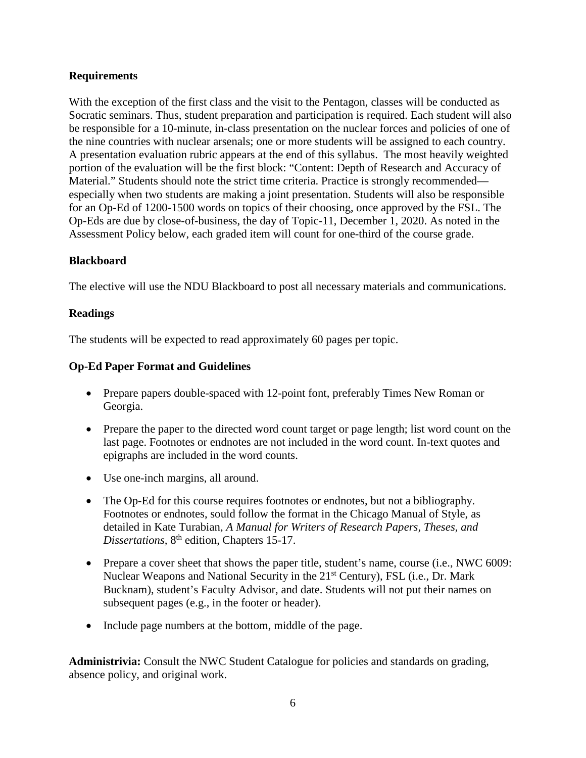#### **Requirements**

With the exception of the first class and the visit to the Pentagon, classes will be conducted as Socratic seminars. Thus, student preparation and participation is required. Each student will also be responsible for a 10-minute, in-class presentation on the nuclear forces and policies of one of the nine countries with nuclear arsenals; one or more students will be assigned to each country. A presentation evaluation rubric appears at the end of this syllabus. The most heavily weighted portion of the evaluation will be the first block: "Content: Depth of Research and Accuracy of Material." Students should note the strict time criteria. Practice is strongly recommended especially when two students are making a joint presentation. Students will also be responsible for an Op-Ed of 1200-1500 words on topics of their choosing, once approved by the FSL. The Op-Eds are due by close-of-business, the day of Topic-11, December 1, 2020. As noted in the Assessment Policy below, each graded item will count for one-third of the course grade.

#### **Blackboard**

The elective will use the NDU Blackboard to post all necessary materials and communications.

#### **Readings**

The students will be expected to read approximately 60 pages per topic.

#### **Op-Ed Paper Format and Guidelines**

- Prepare papers double-spaced with 12-point font, preferably Times New Roman or Georgia.
- Prepare the paper to the directed word count target or page length; list word count on the last page. Footnotes or endnotes are not included in the word count. In-text quotes and epigraphs are included in the word counts.
- Use one-inch margins, all around.
- The Op-Ed for this course requires footnotes or endnotes, but not a bibliography. Footnotes or endnotes, sould follow the format in the Chicago Manual of Style, as detailed in Kate Turabian, *A Manual for Writers of Research Papers, Theses, and Dissertations,* 8th edition, Chapters 15-17.
- Prepare a cover sheet that shows the paper title, student's name, course (i.e., NWC 6009: Nuclear Weapons and National Security in the 21<sup>st</sup> Century), FSL (i.e., Dr. Mark Bucknam), student's Faculty Advisor, and date. Students will not put their names on subsequent pages (e.g., in the footer or header).
- Include page numbers at the bottom, middle of the page.

**Administrivia:** Consult the NWC Student Catalogue for policies and standards on grading, absence policy, and original work.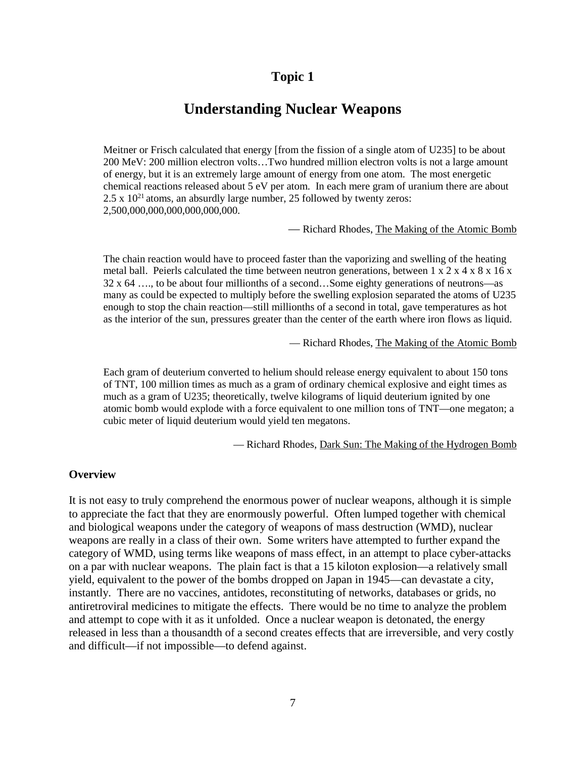## **Understanding Nuclear Weapons**

Meitner or Frisch calculated that energy [from the fission of a single atom of U235] to be about 200 MeV: 200 million electron volts…Two hundred million electron volts is not a large amount of energy, but it is an extremely large amount of energy from one atom. The most energetic chemical reactions released about 5 eV per atom. In each mere gram of uranium there are about  $2.5 \times 10^{21}$  atoms, an absurdly large number, 25 followed by twenty zeros: 2,500,000,000,000,000,000,000.

— Richard Rhodes, The Making of the Atomic Bomb

The chain reaction would have to proceed faster than the vaporizing and swelling of the heating metal ball. Peierls calculated the time between neutron generations, between 1 x 2 x 4 x 8 x 16 x 32 x 64 …., to be about four millionths of a second…Some eighty generations of neutrons—as many as could be expected to multiply before the swelling explosion separated the atoms of U235 enough to stop the chain reaction—still millionths of a second in total, gave temperatures as hot as the interior of the sun, pressures greater than the center of the earth where iron flows as liquid.

— Richard Rhodes, The Making of the Atomic Bomb

Each gram of deuterium converted to helium should release energy equivalent to about 150 tons of TNT, 100 million times as much as a gram of ordinary chemical explosive and eight times as much as a gram of U235; theoretically, twelve kilograms of liquid deuterium ignited by one atomic bomb would explode with a force equivalent to one million tons of TNT—one megaton; a cubic meter of liquid deuterium would yield ten megatons.

— Richard Rhodes, Dark Sun: The Making of the Hydrogen Bomb

#### **Overview**

It is not easy to truly comprehend the enormous power of nuclear weapons, although it is simple to appreciate the fact that they are enormously powerful. Often lumped together with chemical and biological weapons under the category of weapons of mass destruction (WMD), nuclear weapons are really in a class of their own. Some writers have attempted to further expand the category of WMD, using terms like weapons of mass effect, in an attempt to place cyber-attacks on a par with nuclear weapons. The plain fact is that a 15 kiloton explosion—a relatively small yield, equivalent to the power of the bombs dropped on Japan in 1945—can devastate a city, instantly. There are no vaccines, antidotes, reconstituting of networks, databases or grids, no antiretroviral medicines to mitigate the effects. There would be no time to analyze the problem and attempt to cope with it as it unfolded. Once a nuclear weapon is detonated, the energy released in less than a thousandth of a second creates effects that are irreversible, and very costly and difficult—if not impossible—to defend against.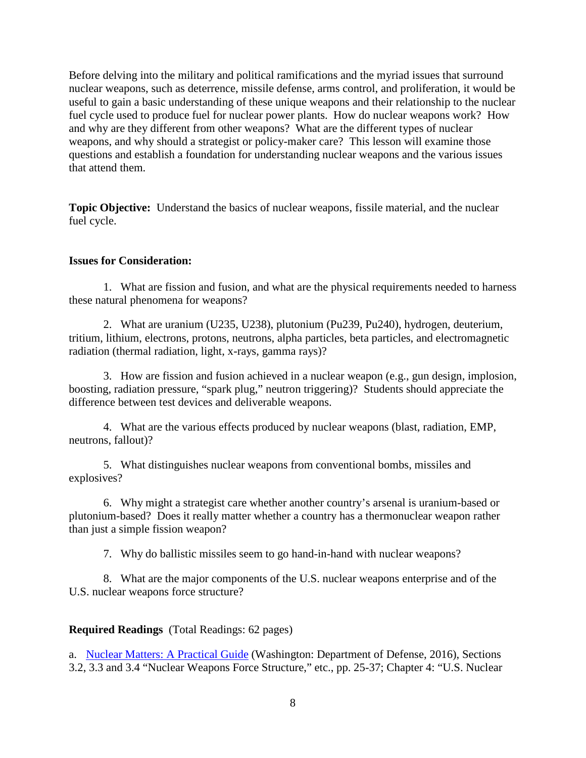Before delving into the military and political ramifications and the myriad issues that surround nuclear weapons, such as deterrence, missile defense, arms control, and proliferation, it would be useful to gain a basic understanding of these unique weapons and their relationship to the nuclear fuel cycle used to produce fuel for nuclear power plants. How do nuclear weapons work? How and why are they different from other weapons? What are the different types of nuclear weapons, and why should a strategist or policy-maker care? This lesson will examine those questions and establish a foundation for understanding nuclear weapons and the various issues that attend them.

**Topic Objective:** Understand the basics of nuclear weapons, fissile material, and the nuclear fuel cycle.

#### **Issues for Consideration:**

1. What are fission and fusion, and what are the physical requirements needed to harness these natural phenomena for weapons?

2. What are uranium (U235, U238), plutonium (Pu239, Pu240), hydrogen, deuterium, tritium, lithium, electrons, protons, neutrons, alpha particles, beta particles, and electromagnetic radiation (thermal radiation, light, x-rays, gamma rays)?

3. How are fission and fusion achieved in a nuclear weapon (e.g., gun design, implosion, boosting, radiation pressure, "spark plug," neutron triggering)? Students should appreciate the difference between test devices and deliverable weapons.

4. What are the various effects produced by nuclear weapons (blast, radiation, EMP, neutrons, fallout)?

5. What distinguishes nuclear weapons from conventional bombs, missiles and explosives?

6. Why might a strategist care whether another country's arsenal is uranium-based or plutonium-based? Does it really matter whether a country has a thermonuclear weapon rather than just a simple fission weapon?

7. Why do ballistic missiles seem to go hand-in-hand with nuclear weapons?

8. What are the major components of the U.S. nuclear weapons enterprise and of the U.S. nuclear weapons force structure?

**Required Readings** (Total Readings: 62 pages)

a. [Nuclear Matters: A Practical Guide](https://www.acq.osd.mil/ncbdp/nm/nmhb/index.htm) (Washington: Department of Defense, 2016), Sections 3.2, 3.3 and 3.4 "Nuclear Weapons Force Structure," etc., pp. 25-37; Chapter 4: "U.S. Nuclear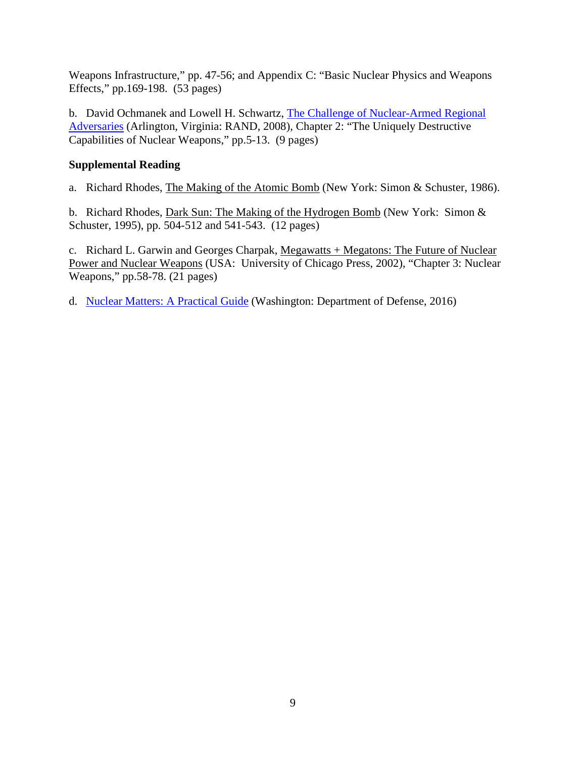Weapons Infrastructure," pp. 47-56; and Appendix C: "Basic Nuclear Physics and Weapons Effects," pp.169-198. (53 pages)

b. David Ochmanek and Lowell H. Schwartz, [The Challenge of Nuclear-Armed Regional](http://www.rand.org/pubs/monographs/2008/RAND_MG671.pdf)  [Adversaries](http://www.rand.org/pubs/monographs/2008/RAND_MG671.pdf) (Arlington, Virginia: RAND, 2008), Chapter 2: "The Uniquely Destructive Capabilities of Nuclear Weapons," pp.5-13. (9 pages)

### **Supplemental Reading**

a. Richard Rhodes, The Making of the Atomic Bomb (New York: Simon & Schuster, 1986).

b. Richard Rhodes, Dark Sun: The Making of the Hydrogen Bomb (New York: Simon & Schuster, 1995), pp. 504-512 and 541-543. (12 pages)

c. Richard L. Garwin and Georges Charpak, Megawatts + Megatons: The Future of Nuclear Power and Nuclear Weapons (USA: University of Chicago Press, 2002), "Chapter 3: Nuclear Weapons," pp.58-78. (21 pages)

d. Nuclear Matters: [A Practical Guide](https://www.acq.osd.mil/ncbdp/nm/nmhb/index.htm) (Washington: Department of Defense, 2016)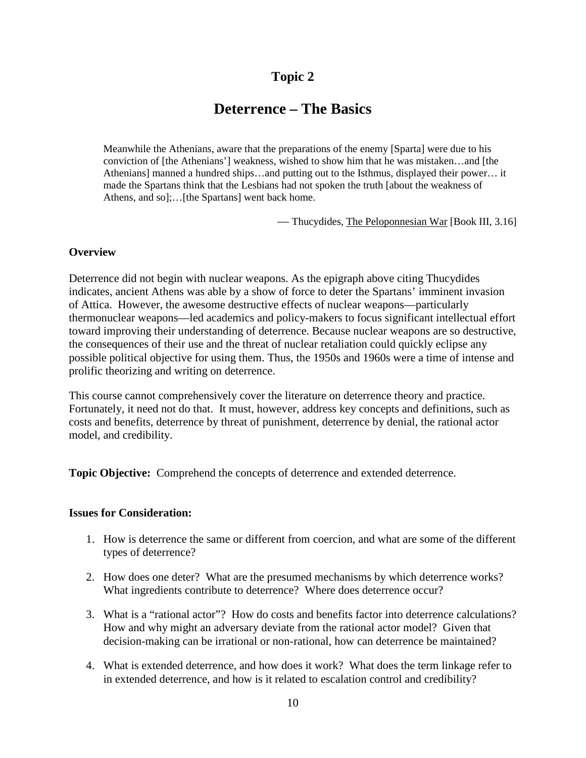## **Deterrence – The Basics**

Meanwhile the Athenians, aware that the preparations of the enemy [Sparta] were due to his conviction of [the Athenians'] weakness, wished to show him that he was mistaken…and [the Athenians] manned a hundred ships…and putting out to the Isthmus, displayed their power… it made the Spartans think that the Lesbians had not spoken the truth [about the weakness of Athens, and so];…[the Spartans] went back home.

— Thucydides, The Peloponnesian War [Book III, 3.16]

#### **Overview**

Deterrence did not begin with nuclear weapons. As the epigraph above citing Thucydides indicates, ancient Athens was able by a show of force to deter the Spartans' imminent invasion of Attica. However, the awesome destructive effects of nuclear weapons—particularly thermonuclear weapons—led academics and policy-makers to focus significant intellectual effort toward improving their understanding of deterrence. Because nuclear weapons are so destructive, the consequences of their use and the threat of nuclear retaliation could quickly eclipse any possible political objective for using them. Thus, the 1950s and 1960s were a time of intense and prolific theorizing and writing on deterrence.

This course cannot comprehensively cover the literature on deterrence theory and practice. Fortunately, it need not do that. It must, however, address key concepts and definitions, such as costs and benefits, deterrence by threat of punishment, deterrence by denial, the rational actor model, and credibility.

**Topic Objective:** Comprehend the concepts of deterrence and extended deterrence.

#### **Issues for Consideration:**

- 1. How is deterrence the same or different from coercion, and what are some of the different types of deterrence?
- 2. How does one deter? What are the presumed mechanisms by which deterrence works? What ingredients contribute to deterrence? Where does deterrence occur?
- 3. What is a "rational actor"? How do costs and benefits factor into deterrence calculations? How and why might an adversary deviate from the rational actor model? Given that decision-making can be irrational or non-rational, how can deterrence be maintained?
- 4. What is extended deterrence, and how does it work? What does the term linkage refer to in extended deterrence, and how is it related to escalation control and credibility?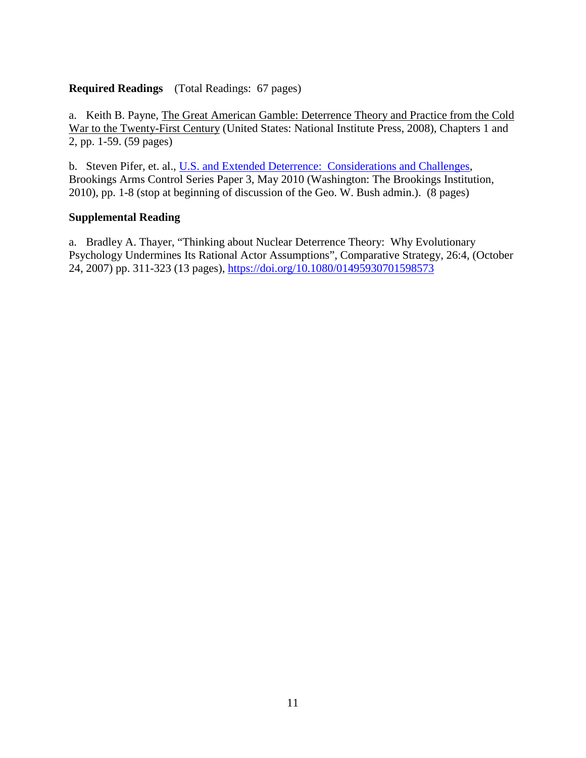### **Required Readings** (Total Readings: 67 pages)

a. Keith B. Payne, The Great American Gamble: Deterrence Theory and Practice from the Cold War to the Twenty-First Century (United States: National Institute Press, 2008), Chapters 1 and 2, pp. 1-59. (59 pages)

b. Steven Pifer, et. al., [U.S. and Extended Deterrence: Considerations and Challenges,](http://www.brookings.edu/research/papers/2010/06/nuclear-deterrence) Brookings Arms Control Series Paper 3, May 2010 (Washington: The Brookings Institution, 2010), pp. 1-8 (stop at beginning of discussion of the Geo. W. Bush admin.). (8 pages)

### **Supplemental Reading**

a. Bradley A. Thayer, "Thinking about Nuclear Deterrence Theory: Why Evolutionary Psychology Undermines Its Rational Actor Assumptions", Comparative Strategy, 26:4, (October 24, 2007) pp. 311-323 (13 pages),<https://doi.org/10.1080/01495930701598573>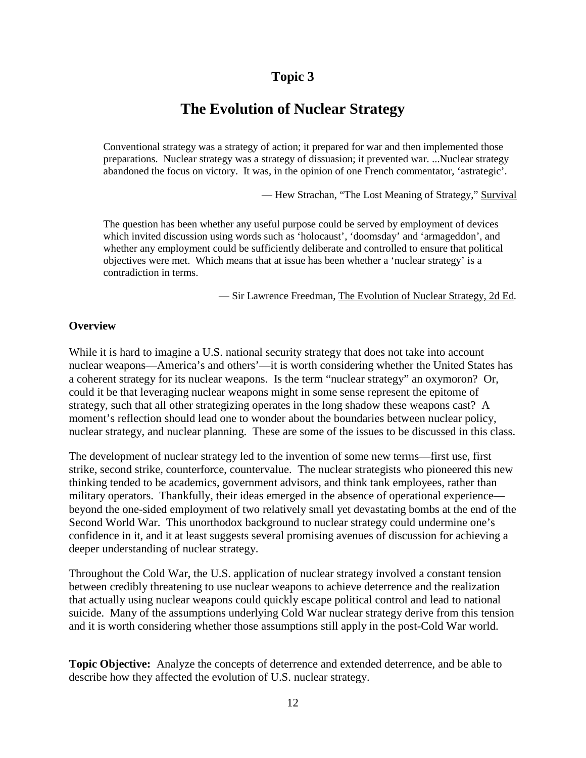## **The Evolution of Nuclear Strategy**

Conventional strategy was a strategy of action; it prepared for war and then implemented those preparations. Nuclear strategy was a strategy of dissuasion; it prevented war. ...Nuclear strategy abandoned the focus on victory. It was, in the opinion of one French commentator, 'astrategic'.

— Hew Strachan, "The Lost Meaning of Strategy," Survival

The question has been whether any useful purpose could be served by employment of devices which invited discussion using words such as 'holocaust', 'doomsday' and 'armageddon', and whether any employment could be sufficiently deliberate and controlled to ensure that political objectives were met. Which means that at issue has been whether a 'nuclear strategy' is a contradiction in terms.

— Sir Lawrence Freedman, The Evolution of Nuclear Strategy, 2d Ed*.*

#### **Overview**

While it is hard to imagine a U.S. national security strategy that does not take into account nuclear weapons—America's and others'—it is worth considering whether the United States has a coherent strategy for its nuclear weapons. Is the term "nuclear strategy" an oxymoron? Or, could it be that leveraging nuclear weapons might in some sense represent the epitome of strategy, such that all other strategizing operates in the long shadow these weapons cast? A moment's reflection should lead one to wonder about the boundaries between nuclear policy, nuclear strategy, and nuclear planning. These are some of the issues to be discussed in this class.

The development of nuclear strategy led to the invention of some new terms—first use, first strike, second strike, counterforce, countervalue. The nuclear strategists who pioneered this new thinking tended to be academics, government advisors, and think tank employees, rather than military operators. Thankfully, their ideas emerged in the absence of operational experience beyond the one-sided employment of two relatively small yet devastating bombs at the end of the Second World War. This unorthodox background to nuclear strategy could undermine one's confidence in it, and it at least suggests several promising avenues of discussion for achieving a deeper understanding of nuclear strategy.

Throughout the Cold War, the U.S. application of nuclear strategy involved a constant tension between credibly threatening to use nuclear weapons to achieve deterrence and the realization that actually using nuclear weapons could quickly escape political control and lead to national suicide. Many of the assumptions underlying Cold War nuclear strategy derive from this tension and it is worth considering whether those assumptions still apply in the post-Cold War world.

**Topic Objective:** Analyze the concepts of deterrence and extended deterrence, and be able to describe how they affected the evolution of U.S. nuclear strategy.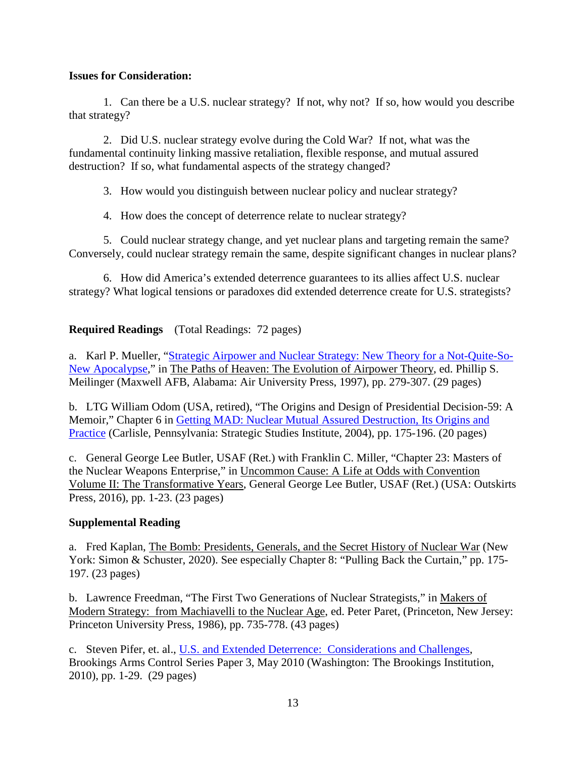#### **Issues for Consideration:**

1. Can there be a U.S. nuclear strategy? If not, why not? If so, how would you describe that strategy?

2. Did U.S. nuclear strategy evolve during the Cold War? If not, what was the fundamental continuity linking massive retaliation, flexible response, and mutual assured destruction? If so, what fundamental aspects of the strategy changed?

3. How would you distinguish between nuclear policy and nuclear strategy?

4. How does the concept of deterrence relate to nuclear strategy?

5. Could nuclear strategy change, and yet nuclear plans and targeting remain the same? Conversely, could nuclear strategy remain the same, despite significant changes in nuclear plans?

6. How did America's extended deterrence guarantees to its allies affect U.S. nuclear strategy? What logical tensions or paradoxes did extended deterrence create for U.S. strategists?

**Required Readings** (Total Readings: 72 pages)

a. Karl P. Mueller, ["Strategic Airpower and Nuclear Strategy: New Theory](https://media.defense.gov/2017/Apr/07/2001728508/-1/-1/0/B_0029_MEILINGER_PATHS_OF_HEAVEN.PDF) for a Not-Quite-So-[New Apocalypse,](https://media.defense.gov/2017/Apr/07/2001728508/-1/-1/0/B_0029_MEILINGER_PATHS_OF_HEAVEN.PDF)" in The Paths of Heaven: The Evolution of Airpower Theory, ed. Phillip S. Meilinger (Maxwell AFB, Alabama: Air University Press, 1997), pp. 279-307. (29 pages)

b. LTG William Odom (USA, retired), "The Origins and Design of Presidential Decision-59: A Memoir," Chapter 6 in [Getting MAD: Nuclear Mutual Assured Destruction, Its Origins and](http://www.strategicstudiesinstitute.army.mil/pubs/display.cfm?pubid=585)  [Practice](http://www.strategicstudiesinstitute.army.mil/pubs/display.cfm?pubid=585) (Carlisle, Pennsylvania: Strategic Studies Institute, 2004), pp. 175-196. (20 pages)

c. General George Lee Butler, USAF (Ret.) with Franklin C. Miller, "Chapter 23: Masters of the Nuclear Weapons Enterprise," in Uncommon Cause: A Life at Odds with Convention Volume II: The Transformative Years, General George Lee Butler, USAF (Ret.) (USA: Outskirts Press, 2016), pp. 1-23. (23 pages)

### **Supplemental Reading**

a. Fred Kaplan, The Bomb: Presidents, Generals, and the Secret History of Nuclear War (New York: Simon & Schuster, 2020). See especially Chapter 8: "Pulling Back the Curtain," pp. 175-197. (23 pages)

b. Lawrence Freedman, "The First Two Generations of Nuclear Strategists," in Makers of Modern Strategy: from Machiavelli to the Nuclear Age, ed. Peter Paret, (Princeton, New Jersey: Princeton University Press, 1986), pp. 735-778. (43 pages)

c. Steven Pifer, et. al., [U.S. and Extended Deterrence: Considerations and Challenges,](http://www.brookings.edu/research/papers/2010/06/nuclear-deterrence) Brookings Arms Control Series Paper 3, May 2010 (Washington: The Brookings Institution, 2010), pp. 1-29. (29 pages)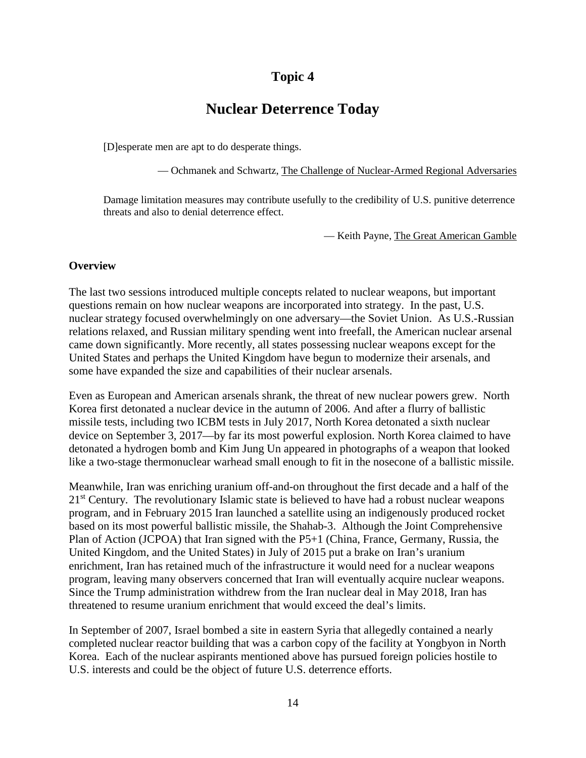## **Nuclear Deterrence Today**

[D]esperate men are apt to do desperate things.

— Ochmanek and Schwartz, The Challenge of Nuclear-Armed Regional Adversaries

Damage limitation measures may contribute usefully to the credibility of U.S. punitive deterrence threats and also to denial deterrence effect.

— Keith Payne, The Great American Gamble

#### **Overview**

The last two sessions introduced multiple concepts related to nuclear weapons, but important questions remain on how nuclear weapons are incorporated into strategy. In the past, U.S. nuclear strategy focused overwhelmingly on one adversary—the Soviet Union. As U.S.-Russian relations relaxed, and Russian military spending went into freefall, the American nuclear arsenal came down significantly. More recently, all states possessing nuclear weapons except for the United States and perhaps the United Kingdom have begun to modernize their arsenals, and some have expanded the size and capabilities of their nuclear arsenals.

Even as European and American arsenals shrank, the threat of new nuclear powers grew. North Korea first detonated a nuclear device in the autumn of 2006. And after a flurry of ballistic missile tests, including two ICBM tests in July 2017, North Korea detonated a sixth nuclear device on September 3, 2017—by far its most powerful explosion. North Korea claimed to have detonated a hydrogen bomb and Kim Jung Un appeared in photographs of a weapon that looked like a two-stage thermonuclear warhead small enough to fit in the nosecone of a ballistic missile.

Meanwhile, Iran was enriching uranium off-and-on throughout the first decade and a half of the 21<sup>st</sup> Century. The revolutionary Islamic state is believed to have had a robust nuclear weapons program, and in February 2015 Iran launched a satellite using an indigenously produced rocket based on its most powerful ballistic missile, the Shahab-3. Although the Joint Comprehensive Plan of Action (JCPOA) that Iran signed with the P5+1 (China, France, Germany, Russia, the United Kingdom, and the United States) in July of 2015 put a brake on Iran's uranium enrichment, Iran has retained much of the infrastructure it would need for a nuclear weapons program, leaving many observers concerned that Iran will eventually acquire nuclear weapons. Since the Trump administration withdrew from the Iran nuclear deal in May 2018, Iran has threatened to resume uranium enrichment that would exceed the deal's limits.

In September of 2007, Israel bombed a site in eastern Syria that allegedly contained a nearly completed nuclear reactor building that was a carbon copy of the facility at Yongbyon in North Korea. Each of the nuclear aspirants mentioned above has pursued foreign policies hostile to U.S. interests and could be the object of future U.S. deterrence efforts.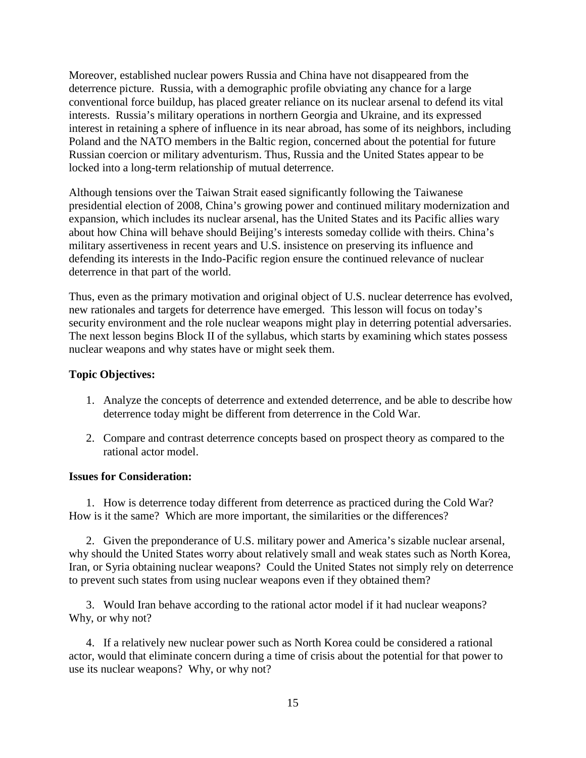Moreover, established nuclear powers Russia and China have not disappeared from the deterrence picture. Russia, with a demographic profile obviating any chance for a large conventional force buildup, has placed greater reliance on its nuclear arsenal to defend its vital interests. Russia's military operations in northern Georgia and Ukraine, and its expressed interest in retaining a sphere of influence in its near abroad, has some of its neighbors, including Poland and the NATO members in the Baltic region, concerned about the potential for future Russian coercion or military adventurism. Thus, Russia and the United States appear to be locked into a long-term relationship of mutual deterrence.

Although tensions over the Taiwan Strait eased significantly following the Taiwanese presidential election of 2008, China's growing power and continued military modernization and expansion, which includes its nuclear arsenal, has the United States and its Pacific allies wary about how China will behave should Beijing's interests someday collide with theirs. China's military assertiveness in recent years and U.S. insistence on preserving its influence and defending its interests in the Indo-Pacific region ensure the continued relevance of nuclear deterrence in that part of the world.

Thus, even as the primary motivation and original object of U.S. nuclear deterrence has evolved, new rationales and targets for deterrence have emerged. This lesson will focus on today's security environment and the role nuclear weapons might play in deterring potential adversaries. The next lesson begins Block II of the syllabus, which starts by examining which states possess nuclear weapons and why states have or might seek them.

#### **Topic Objectives:**

- 1. Analyze the concepts of deterrence and extended deterrence, and be able to describe how deterrence today might be different from deterrence in the Cold War.
- 2. Compare and contrast deterrence concepts based on prospect theory as compared to the rational actor model.

#### **Issues for Consideration:**

1. How is deterrence today different from deterrence as practiced during the Cold War? How is it the same? Which are more important, the similarities or the differences?

2. Given the preponderance of U.S. military power and America's sizable nuclear arsenal, why should the United States worry about relatively small and weak states such as North Korea, Iran, or Syria obtaining nuclear weapons? Could the United States not simply rely on deterrence to prevent such states from using nuclear weapons even if they obtained them?

3. Would Iran behave according to the rational actor model if it had nuclear weapons? Why, or why not?

4. If a relatively new nuclear power such as North Korea could be considered a rational actor, would that eliminate concern during a time of crisis about the potential for that power to use its nuclear weapons? Why, or why not?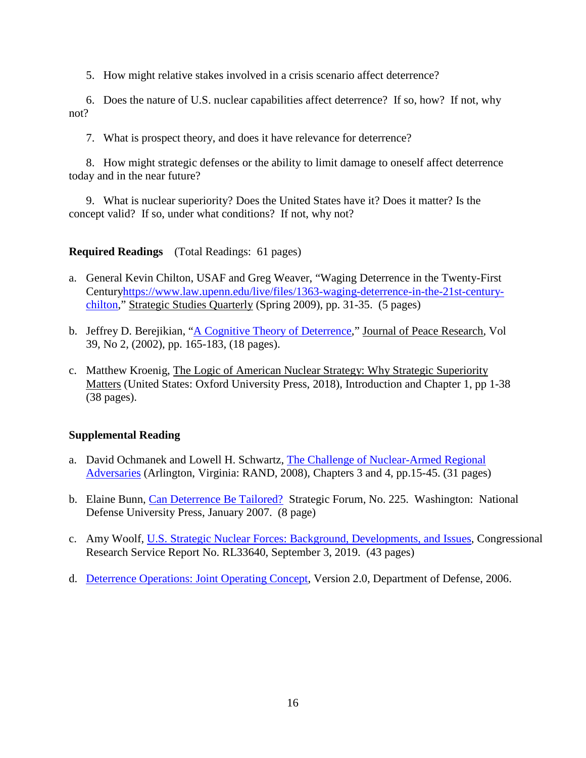5. How might relative stakes involved in a crisis scenario affect deterrence?

6. Does the nature of U.S. nuclear capabilities affect deterrence? If so, how? If not, why not?

7. What is prospect theory, and does it have relevance for deterrence?

8. How might strategic defenses or the ability to limit damage to oneself affect deterrence today and in the near future?

9. What is nuclear superiority? Does the United States have it? Does it matter? Is the concept valid? If so, under what conditions? If not, why not?

### **Required Readings** (Total Readings: 61 pages)

- a. General Kevin Chilton, USAF and Greg Weaver, "Waging Deterrence in the Twenty-First Centur[yhttps://www.law.upenn.edu/live/files/1363-waging-deterrence-in-the-21st-century](https://www.law.upenn.edu/live/files/1363-waging-deterrence-in-the-21st-century-chilton)[chilton,](https://www.law.upenn.edu/live/files/1363-waging-deterrence-in-the-21st-century-chilton)" Strategic Studies Quarterly (Spring 2009), pp. 31-35. (5 pages)
- b. Jeffrey D. Berejikian, ["A Cognitive Theory of Deterrence,](https://www.jstor.org/stable/1555297?seq=1#metadata_info_tab_contents)" Journal of Peace Research, Vol 39, No 2, (2002), pp. 165-183, (18 pages).
- c. Matthew Kroenig, The Logic of American Nuclear Strategy: Why Strategic Superiority Matters (United States: Oxford University Press, 2018), Introduction and Chapter 1, pp 1-38 (38 pages).

### **Supplemental Reading**

- a. David Ochmanek and Lowell H. Schwartz, [The Challenge of Nuclear-Armed Regional](https://www.rand.org/pubs/monographs/MG671.html)  [Adversaries](https://www.rand.org/pubs/monographs/MG671.html) (Arlington, Virginia: RAND, 2008), Chapters 3 and 4, pp.15-45. (31 pages)
- b. Elaine Bunn, [Can Deterrence Be Tailored?](https://www.hsdl.org/?abstract&did=481759) Strategic Forum, No. 225. Washington: National Defense University Press, January 2007. (8 page)
- c. Amy Woolf, [U.S. Strategic Nuclear Forces: Background, Developments, and Issues,](https://www.hsdl.org/?abstract&did=819136) Congressional Research Service Report No. RL33640, September 3, 2019. (43 pages)
- d. [Deterrence Operations: Joint Operating Concept,](file://ndu_shares/homefolders/Mark.Bucknam/Nuclear/1_Syllabus/a.%09https:/www.jcs.mil/Portals/36/Documents/Doctrine/concepts/joc_deterrence.pdf?ver=2017-12-28-162015-337) Version 2.0, Department of Defense, 2006.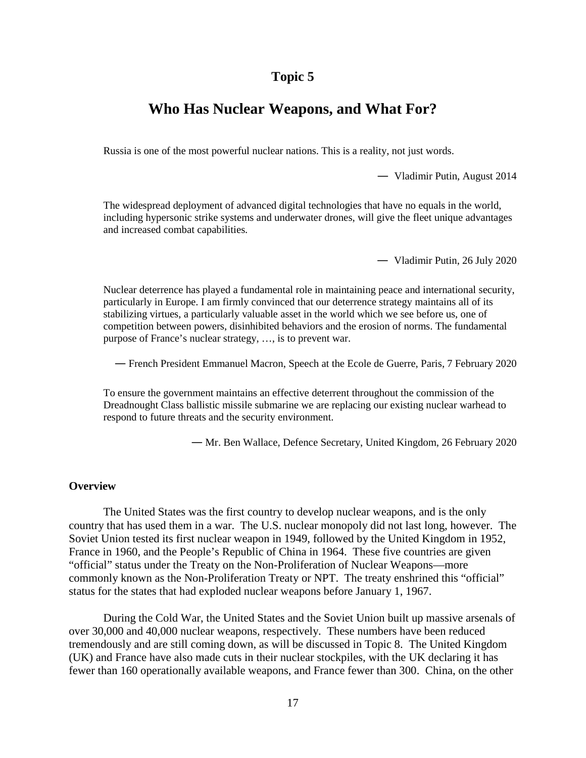## **Who Has Nuclear Weapons, and What For?**

Russia is one of the most powerful nuclear nations. This is a reality, not just words.

— Vladimir Putin, August 2014

The widespread deployment of advanced digital technologies that have no equals in the world, including hypersonic strike systems and underwater drones, will give the fleet unique advantages and increased combat capabilities.

— Vladimir Putin, 26 July 2020

Nuclear deterrence has played a fundamental role in maintaining peace and international security, particularly in Europe. I am firmly convinced that our deterrence strategy maintains all of its stabilizing virtues, a particularly valuable asset in the world which we see before us, one of competition between powers, disinhibited behaviors and the erosion of norms. The fundamental purpose of France's nuclear strategy, …, is to prevent war.

— French President Emmanuel Macron, Speech at the Ecole de Guerre, Paris, 7 February 2020

To ensure the government maintains an effective deterrent throughout the commission of the Dreadnought Class ballistic missile submarine we are replacing our existing nuclear warhead to respond to future threats and the security environment.

— Mr. Ben Wallace, Defence Secretary, United Kingdom, 26 February 2020

#### **Overview**

The United States was the first country to develop nuclear weapons, and is the only country that has used them in a war. The U.S. nuclear monopoly did not last long, however. The Soviet Union tested its first nuclear weapon in 1949, followed by the United Kingdom in 1952, France in 1960, and the People's Republic of China in 1964. These five countries are given "official" status under the Treaty on the Non-Proliferation of Nuclear Weapons—more commonly known as the Non-Proliferation Treaty or NPT. The treaty enshrined this "official" status for the states that had exploded nuclear weapons before January 1, 1967.

During the Cold War, the United States and the Soviet Union built up massive arsenals of over 30,000 and 40,000 nuclear weapons, respectively. These numbers have been reduced tremendously and are still coming down, as will be discussed in Topic 8. The United Kingdom (UK) and France have also made cuts in their nuclear stockpiles, with the UK declaring it has fewer than 160 operationally available weapons, and France fewer than 300. China, on the other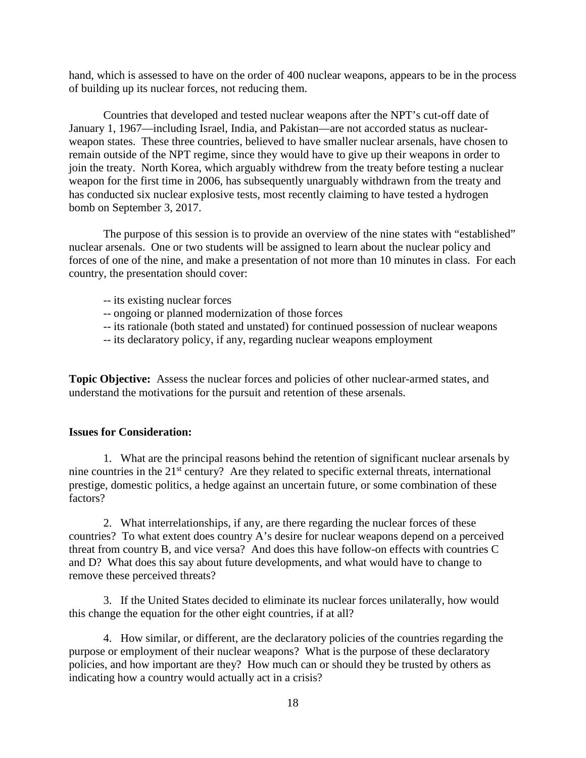hand, which is assessed to have on the order of 400 nuclear weapons, appears to be in the process of building up its nuclear forces, not reducing them.

Countries that developed and tested nuclear weapons after the NPT's cut-off date of January 1, 1967—including Israel, India, and Pakistan—are not accorded status as nuclearweapon states. These three countries, believed to have smaller nuclear arsenals, have chosen to remain outside of the NPT regime, since they would have to give up their weapons in order to join the treaty. North Korea, which arguably withdrew from the treaty before testing a nuclear weapon for the first time in 2006, has subsequently unarguably withdrawn from the treaty and has conducted six nuclear explosive tests, most recently claiming to have tested a hydrogen bomb on September 3, 2017.

The purpose of this session is to provide an overview of the nine states with "established" nuclear arsenals. One or two students will be assigned to learn about the nuclear policy and forces of one of the nine, and make a presentation of not more than 10 minutes in class. For each country, the presentation should cover:

- -- its existing nuclear forces
- -- ongoing or planned modernization of those forces
- -- its rationale (both stated and unstated) for continued possession of nuclear weapons
- -- its declaratory policy, if any, regarding nuclear weapons employment

**Topic Objective:** Assess the nuclear forces and policies of other nuclear-armed states, and understand the motivations for the pursuit and retention of these arsenals.

#### **Issues for Consideration:**

1. What are the principal reasons behind the retention of significant nuclear arsenals by nine countries in the 21<sup>st</sup> century? Are they related to specific external threats, international prestige, domestic politics, a hedge against an uncertain future, or some combination of these factors?

2. What interrelationships, if any, are there regarding the nuclear forces of these countries? To what extent does country A's desire for nuclear weapons depend on a perceived threat from country B, and vice versa? And does this have follow-on effects with countries C and D? What does this say about future developments, and what would have to change to remove these perceived threats?

3. If the United States decided to eliminate its nuclear forces unilaterally, how would this change the equation for the other eight countries, if at all?

4. How similar, or different, are the declaratory policies of the countries regarding the purpose or employment of their nuclear weapons? What is the purpose of these declaratory policies, and how important are they? How much can or should they be trusted by others as indicating how a country would actually act in a crisis?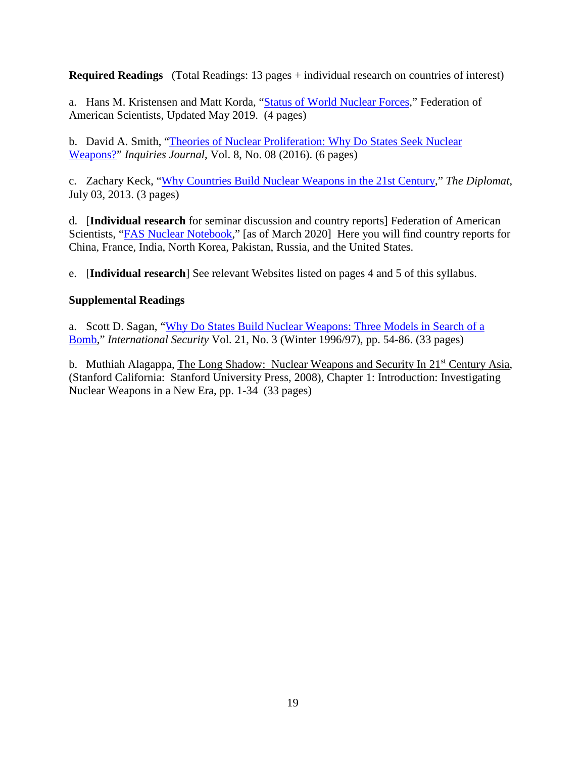**Required Readings** (Total Readings: 13 pages + individual research on countries of interest)

a. Hans M. Kristensen and Matt Korda, ["Status of World Nuclear Forces,](https://fas.org/issues/nuclear-weapons/status-world-nuclear-forces/)" Federation of American Scientists, Updated May 2019. (4 pages)

b. David A. Smith, ["Theories of Nuclear Proliferation: Why Do States Seek Nuclear](http://www.inquiriesjournal.com/articles/1434/theories-of-nuclear-proliferation-why-do-states-seek-nuclear-weapons)  [Weapons?"](http://www.inquiriesjournal.com/articles/1434/theories-of-nuclear-proliferation-why-do-states-seek-nuclear-weapons) *Inquiries Journal*, Vol. 8, No. 08 (2016). (6 pages)

c. Zachary Keck, ["Why Countries Build Nuclear Weapons in the 21st Century,](https://thediplomat.com/2013/07/why-countries-build-nuclear-weapons-in-the-21st-century/)" *The Diplomat*, July 03, 2013. (3 pages)

d. [**Individual research** for seminar discussion and country reports] Federation of American Scientists, ["FAS Nuclear Notebook,](https://fas.org/issues/nuclear-weapons/nuclear-notebook/)" [as of March 2020] Here you will find country reports for China, France, India, North Korea, Pakistan, Russia, and the United States.

e. [**Individual research**] See relevant Websites listed on pages 4 and 5 of this syllabus.

#### **Supplemental Readings**

a. Scott D. Sagan, ["Why Do States Build Nuclear Weapons: Three Models in Search of a](https://www.mitpressjournals.org/doi/pdf/10.1162/isec.21.3.54)  [Bomb,](https://www.mitpressjournals.org/doi/pdf/10.1162/isec.21.3.54)" *International Security* Vol. 21, No. 3 (Winter 1996/97), pp. 54-86. (33 pages)

b. Muthiah Alagappa, The Long Shadow: Nuclear Weapons and Security In 21<sup>st</sup> Century Asia, (Stanford California: Stanford University Press, 2008), Chapter 1: Introduction: Investigating Nuclear Weapons in a New Era, pp. 1-34 (33 pages)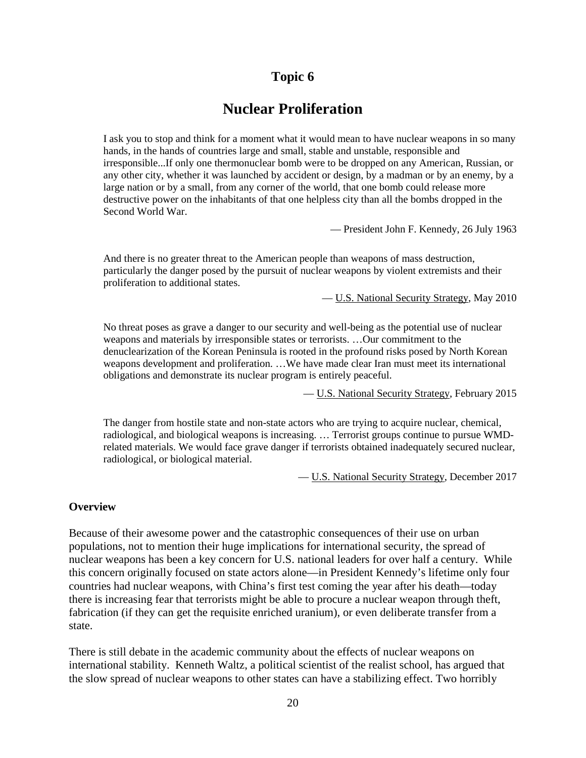## **Nuclear Proliferation**

I ask you to stop and think for a moment what it would mean to have nuclear weapons in so many hands, in the hands of countries large and small, stable and unstable, responsible and irresponsible...If only one thermonuclear bomb were to be dropped on any American, Russian, or any other city, whether it was launched by accident or design, by a madman or by an enemy, by a large nation or by a small, from any corner of the world, that one bomb could release more destructive power on the inhabitants of that one helpless city than all the bombs dropped in the Second World War.

— President John F. Kennedy, 26 July 1963

And there is no greater threat to the American people than weapons of mass destruction, particularly the danger posed by the pursuit of nuclear weapons by violent extremists and their proliferation to additional states.

— U.S. National Security Strategy, May 2010

No threat poses as grave a danger to our security and well-being as the potential use of nuclear weapons and materials by irresponsible states or terrorists. …Our commitment to the denuclearization of the Korean Peninsula is rooted in the profound risks posed by North Korean weapons development and proliferation. …We have made clear Iran must meet its international obligations and demonstrate its nuclear program is entirely peaceful.

— U.S. National Security Strategy, February 2015

The danger from hostile state and non-state actors who are trying to acquire nuclear, chemical, radiological, and biological weapons is increasing. … Terrorist groups continue to pursue WMDrelated materials. We would face grave danger if terrorists obtained inadequately secured nuclear, radiological, or biological material.

— U.S. National Security Strategy, December 2017

#### **Overview**

Because of their awesome power and the catastrophic consequences of their use on urban populations, not to mention their huge implications for international security, the spread of nuclear weapons has been a key concern for U.S. national leaders for over half a century. While this concern originally focused on state actors alone—in President Kennedy's lifetime only four countries had nuclear weapons, with China's first test coming the year after his death—today there is increasing fear that terrorists might be able to procure a nuclear weapon through theft, fabrication (if they can get the requisite enriched uranium), or even deliberate transfer from a state.

There is still debate in the academic community about the effects of nuclear weapons on international stability. Kenneth Waltz, a political scientist of the realist school, has argued that the slow spread of nuclear weapons to other states can have a stabilizing effect. Two horribly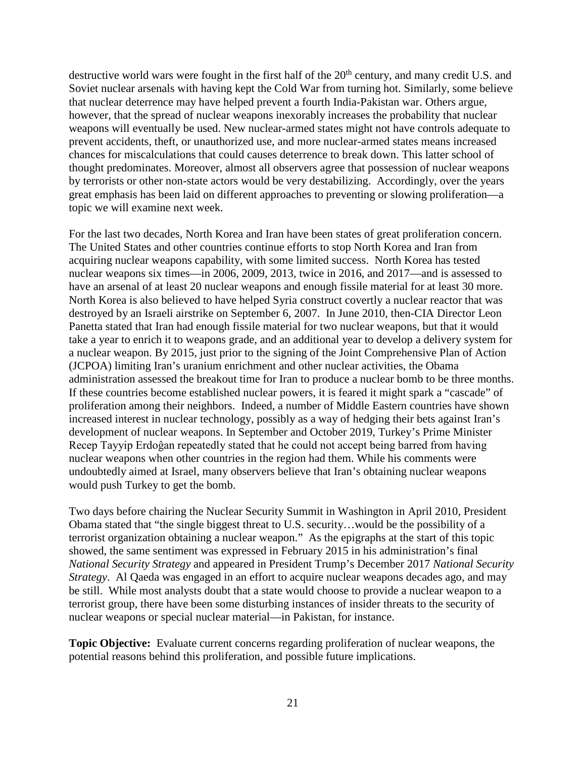destructive world wars were fought in the first half of the  $20<sup>th</sup>$  century, and many credit U.S. and Soviet nuclear arsenals with having kept the Cold War from turning hot. Similarly, some believe that nuclear deterrence may have helped prevent a fourth India-Pakistan war. Others argue, however, that the spread of nuclear weapons inexorably increases the probability that nuclear weapons will eventually be used. New nuclear-armed states might not have controls adequate to prevent accidents, theft, or unauthorized use, and more nuclear-armed states means increased chances for miscalculations that could causes deterrence to break down. This latter school of thought predominates. Moreover, almost all observers agree that possession of nuclear weapons by terrorists or other non-state actors would be very destabilizing. Accordingly, over the years great emphasis has been laid on different approaches to preventing or slowing proliferation—a topic we will examine next week.

For the last two decades, North Korea and Iran have been states of great proliferation concern. The United States and other countries continue efforts to stop North Korea and Iran from acquiring nuclear weapons capability, with some limited success. North Korea has tested nuclear weapons six times—in 2006, 2009, 2013, twice in 2016, and 2017—and is assessed to have an arsenal of at least 20 nuclear weapons and enough fissile material for at least 30 more. North Korea is also believed to have helped Syria construct covertly a nuclear reactor that was destroyed by an Israeli airstrike on September 6, 2007. In June 2010, then-CIA Director Leon Panetta stated that Iran had enough fissile material for two nuclear weapons, but that it would take a year to enrich it to weapons grade, and an additional year to develop a delivery system for a nuclear weapon. By 2015, just prior to the signing of the Joint Comprehensive Plan of Action (JCPOA) limiting Iran's uranium enrichment and other nuclear activities, the Obama administration assessed the breakout time for Iran to produce a nuclear bomb to be three months. If these countries become established nuclear powers, it is feared it might spark a "cascade" of proliferation among their neighbors. Indeed, a number of Middle Eastern countries have shown increased interest in nuclear technology, possibly as a way of hedging their bets against Iran's development of nuclear weapons. In September and October 2019, Turkey's Prime Minister Recep Tayyip Erdoĝan repeatedly stated that he could not accept being barred from having nuclear weapons when other countries in the region had them. While his comments were undoubtedly aimed at Israel, many observers believe that Iran's obtaining nuclear weapons would push Turkey to get the bomb.

Two days before chairing the Nuclear Security Summit in Washington in April 2010, President Obama stated that "the single biggest threat to U.S. security…would be the possibility of a terrorist organization obtaining a nuclear weapon." As the epigraphs at the start of this topic showed, the same sentiment was expressed in February 2015 in his administration's final *National Security Strategy* and appeared in President Trump's December 2017 *National Security Strategy*. Al Qaeda was engaged in an effort to acquire nuclear weapons decades ago, and may be still. While most analysts doubt that a state would choose to provide a nuclear weapon to a terrorist group, there have been some disturbing instances of insider threats to the security of nuclear weapons or special nuclear material—in Pakistan, for instance.

**Topic Objective:** Evaluate current concerns regarding proliferation of nuclear weapons, the potential reasons behind this proliferation, and possible future implications.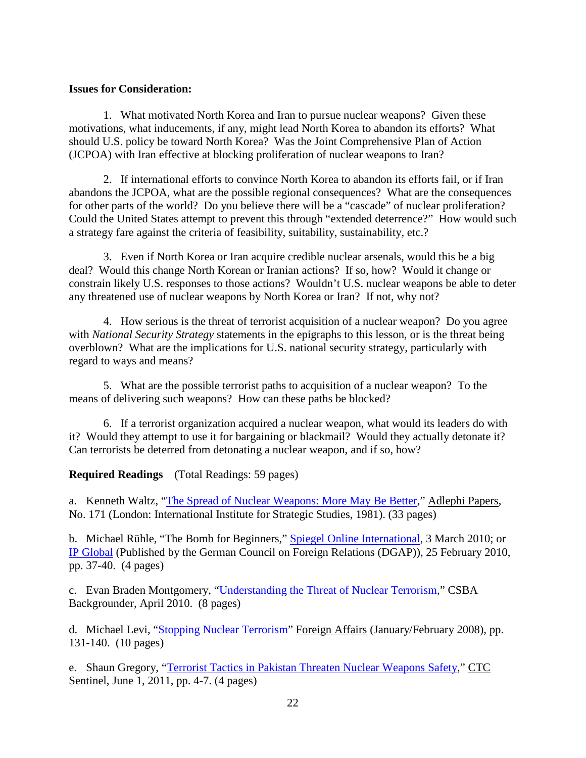#### **Issues for Consideration:**

1. What motivated North Korea and Iran to pursue nuclear weapons? Given these motivations, what inducements, if any, might lead North Korea to abandon its efforts? What should U.S. policy be toward North Korea? Was the Joint Comprehensive Plan of Action (JCPOA) with Iran effective at blocking proliferation of nuclear weapons to Iran?

2. If international efforts to convince North Korea to abandon its efforts fail, or if Iran abandons the JCPOA, what are the possible regional consequences? What are the consequences for other parts of the world? Do you believe there will be a "cascade" of nuclear proliferation? Could the United States attempt to prevent this through "extended deterrence?" How would such a strategy fare against the criteria of feasibility, suitability, sustainability, etc.?

3. Even if North Korea or Iran acquire credible nuclear arsenals, would this be a big deal? Would this change North Korean or Iranian actions? If so, how? Would it change or constrain likely U.S. responses to those actions? Wouldn't U.S. nuclear weapons be able to deter any threatened use of nuclear weapons by North Korea or Iran? If not, why not?

4. How serious is the threat of terrorist acquisition of a nuclear weapon? Do you agree with *National Security Strategy* statements in the epigraphs to this lesson, or is the threat being overblown? What are the implications for U.S. national security strategy, particularly with regard to ways and means?

5. What are the possible terrorist paths to acquisition of a nuclear weapon? To the means of delivering such weapons? How can these paths be blocked?

6. If a terrorist organization acquired a nuclear weapon, what would its leaders do with it? Would they attempt to use it for bargaining or blackmail? Would they actually detonate it? Can terrorists be deterred from detonating a nuclear weapon, and if so, how?

**Required Readings** (Total Readings: 59 pages)

a. Kenneth Waltz, ["The Spread of Nuclear Weapons: More May Be Better,](http://home.sogang.ac.kr/sites/jaechun/courses/Lists/b6/Attachments/39/5.%20The%20spread%20of%20nuclear%20weapons.pdf)" Adlephi Papers, No. 171 (London: International Institute for Strategic Studies, 1981). (33 pages)

b. Michael Rühle, "The Bomb for Beginners," [Spiegel Online International,](http://www.spiegel.de/international/world/0,1518,681525,00.html) 3 March 2010; or [IP Global](https://ip-journal.dgap.org/en/ip-journal/topics/bomb-beginners) (Published by the German Council on Foreign Relations (DGAP)), 25 February 2010, pp. 37-40. (4 pages)

c. Evan Braden Montgomery, ["Understanding the Threat of Nuclear Terrorism,](http://www.csbaonline.org/publications/2010/04/understanding-the-threat-of-nuclear-terrorism/)" CSBA Backgrounder, April 2010. (8 pages)

d. Michael Levi, ["Stopping Nuclear Terrorism"](https://www.foreignaffairs.com/articles/2008-01-01/stopping-nuclear-terrorism) Foreign Affairs (January/February 2008), pp. 131-140. (10 pages)

e. Shaun Gregory, ["Terrorist Tactics in Pakistan Threaten Nuclear Weapons Safety,](https://ctc.usma.edu/terrorist-tactics-in-pakistan-threaten-nuclear-weapons-safety/)" CTC Sentinel, June 1, 2011, pp. 4-7. (4 pages)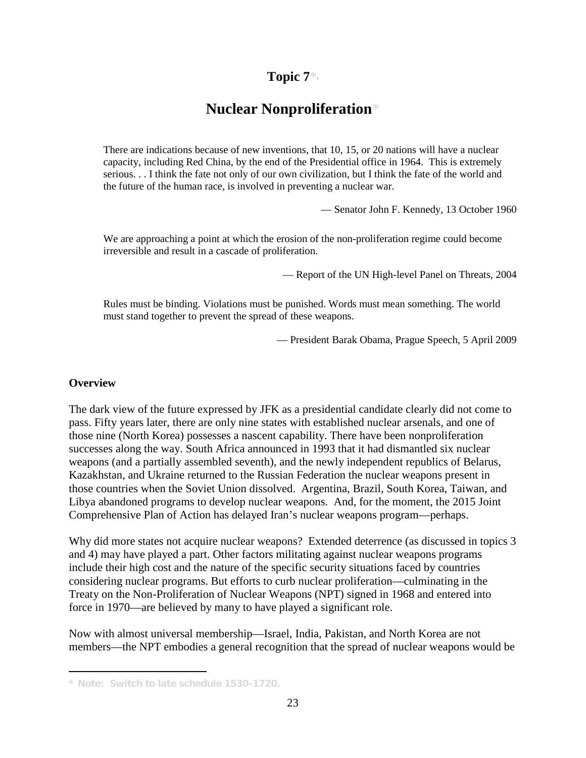## **Topic 7\***[1](#page-22-0)

## **Nuclear Nonproliferation\***

There are indications because of new inventions, that 10, 15, or 20 nations will have a nuclear capacity, including Red China, by the end of the Presidential office in 1964. This is extremely serious. . . I think the fate not only of our own civilization, but I think the fate of the world and the future of the human race, is involved in preventing a nuclear war.

— Senator John F. Kennedy, 13 October 1960

We are approaching a point at which the erosion of the non-proliferation regime could become irreversible and result in a cascade of proliferation.

— Report of the UN High-level Panel on Threats, 2004

Rules must be binding. Violations must be punished. Words must mean something. The world must stand together to prevent the spread of these weapons.

— President Barak Obama, Prague Speech, 5 April 2009

#### **Overview**

I

The dark view of the future expressed by JFK as a presidential candidate clearly did not come to pass. Fifty years later, there are only nine states with established nuclear arsenals, and one of those nine (North Korea) possesses a nascent capability. There have been nonproliferation successes along the way. South Africa announced in 1993 that it had dismantled six nuclear weapons (and a partially assembled seventh), and the newly independent republics of Belarus, Kazakhstan, and Ukraine returned to the Russian Federation the nuclear weapons present in those countries when the Soviet Union dissolved. Argentina, Brazil, South Korea, Taiwan, and Libya abandoned programs to develop nuclear weapons. And, for the moment, the 2015 Joint Comprehensive Plan of Action has delayed Iran's nuclear weapons program—perhaps.

Why did more states not acquire nuclear weapons? Extended deterrence (as discussed in topics 3 and 4) may have played a part. Other factors militating against nuclear weapons programs include their high cost and the nature of the specific security situations faced by countries considering nuclear programs. But efforts to curb nuclear proliferation—culminating in the Treaty on the Non-Proliferation of Nuclear Weapons (NPT) signed in 1968 and entered into force in 1970—are believed by many to have played a significant role.

Now with almost universal membership—Israel, India, Pakistan, and North Korea are not members—the NPT embodies a general recognition that the spread of nuclear weapons would be

<span id="page-22-0"></span>**<sup>\*</sup> Note: Switch to late schedule 1530-1720.**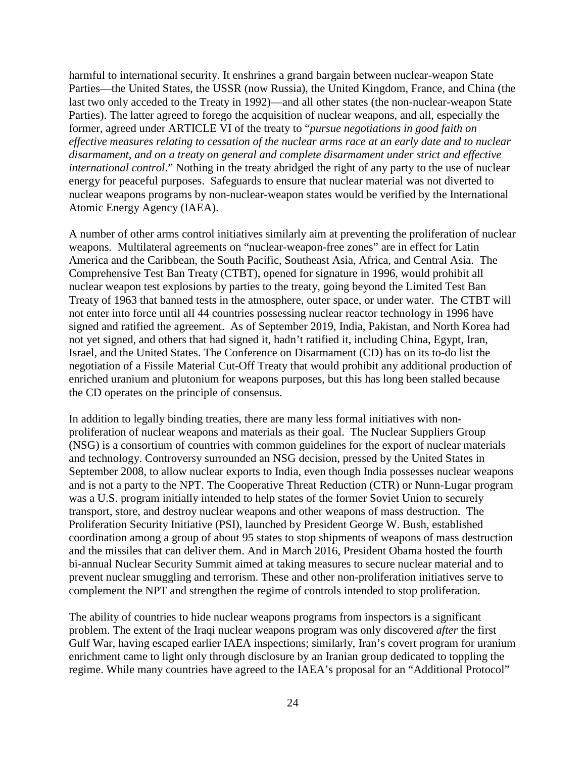harmful to international security. It enshrines a grand bargain between nuclear-weapon State Parties—the United States, the USSR (now Russia), the United Kingdom, France, and China (the last two only acceded to the Treaty in 1992)—and all other states (the non-nuclear-weapon State Parties). The latter agreed to forego the acquisition of nuclear weapons, and all, especially the former, agreed under ARTICLE VI of the treaty to "*pursue negotiations in good faith on effective measures relating to cessation of the nuclear arms race at an early date and to nuclear disarmament, and on a treaty on general and complete disarmament under strict and effective international control*." Nothing in the treaty abridged the right of any party to the use of nuclear energy for peaceful purposes. Safeguards to ensure that nuclear material was not diverted to nuclear weapons programs by non-nuclear-weapon states would be verified by the International Atomic Energy Agency (IAEA).

A number of other arms control initiatives similarly aim at preventing the proliferation of nuclear weapons. Multilateral agreements on "nuclear-weapon-free zones" are in effect for Latin America and the Caribbean, the South Pacific, Southeast Asia, Africa, and Central Asia. The Comprehensive Test Ban Treaty (CTBT), opened for signature in 1996, would prohibit all nuclear weapon test explosions by parties to the treaty, going beyond the Limited Test Ban Treaty of 1963 that banned tests in the atmosphere, outer space, or under water. The CTBT will not enter into force until all 44 countries possessing nuclear reactor technology in 1996 have signed and ratified the agreement. As of September 2019, India, Pakistan, and North Korea had not yet signed, and others that had signed it, hadn't ratified it, including China, Egypt, Iran, Israel, and the United States. The Conference on Disarmament (CD) has on its to-do list the negotiation of a Fissile Material Cut-Off Treaty that would prohibit any additional production of enriched uranium and plutonium for weapons purposes, but this has long been stalled because the CD operates on the principle of consensus.

In addition to legally binding treaties, there are many less formal initiatives with nonproliferation of nuclear weapons and materials as their goal. The Nuclear Suppliers Group (NSG) is a consortium of countries with common guidelines for the export of nuclear materials and technology. Controversy surrounded an NSG decision, pressed by the United States in September 2008, to allow nuclear exports to India, even though India possesses nuclear weapons and is not a party to the NPT. The Cooperative Threat Reduction (CTR) or Nunn-Lugar program was a U.S. program initially intended to help states of the former Soviet Union to securely transport, store, and destroy nuclear weapons and other weapons of mass destruction. The Proliferation Security Initiative (PSI), launched by President George W. Bush, established coordination among a group of about 95 states to stop shipments of weapons of mass destruction and the missiles that can deliver them. And in March 2016, President Obama hosted the fourth bi-annual Nuclear Security Summit aimed at taking measures to secure nuclear material and to prevent nuclear smuggling and terrorism. These and other non-proliferation initiatives serve to complement the NPT and strengthen the regime of controls intended to stop proliferation.

The ability of countries to hide nuclear weapons programs from inspectors is a significant problem. The extent of the Iraqi nuclear weapons program was only discovered *after* the first Gulf War, having escaped earlier IAEA inspections; similarly, Iran's covert program for uranium enrichment came to light only through disclosure by an Iranian group dedicated to toppling the regime. While many countries have agreed to the IAEA's proposal for an "Additional Protocol"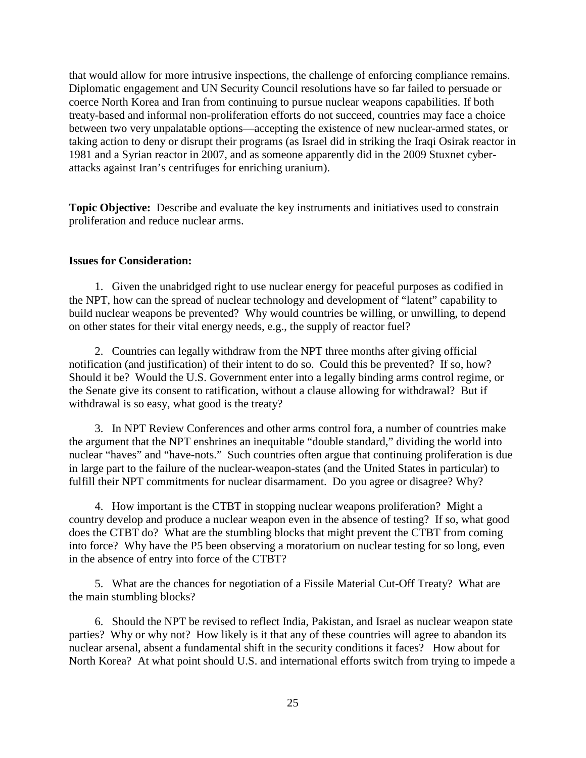that would allow for more intrusive inspections, the challenge of enforcing compliance remains. Diplomatic engagement and UN Security Council resolutions have so far failed to persuade or coerce North Korea and Iran from continuing to pursue nuclear weapons capabilities. If both treaty-based and informal non-proliferation efforts do not succeed, countries may face a choice between two very unpalatable options—accepting the existence of new nuclear-armed states, or taking action to deny or disrupt their programs (as Israel did in striking the Iraqi Osirak reactor in 1981 and a Syrian reactor in 2007, and as someone apparently did in the 2009 Stuxnet cyberattacks against Iran's centrifuges for enriching uranium).

**Topic Objective:** Describe and evaluate the key instruments and initiatives used to constrain proliferation and reduce nuclear arms.

#### **Issues for Consideration:**

1. Given the unabridged right to use nuclear energy for peaceful purposes as codified in the NPT, how can the spread of nuclear technology and development of "latent" capability to build nuclear weapons be prevented? Why would countries be willing, or unwilling, to depend on other states for their vital energy needs, e.g., the supply of reactor fuel?

2. Countries can legally withdraw from the NPT three months after giving official notification (and justification) of their intent to do so. Could this be prevented? If so, how? Should it be? Would the U.S. Government enter into a legally binding arms control regime, or the Senate give its consent to ratification, without a clause allowing for withdrawal? But if withdrawal is so easy, what good is the treaty?

3. In NPT Review Conferences and other arms control fora, a number of countries make the argument that the NPT enshrines an inequitable "double standard," dividing the world into nuclear "haves" and "have-nots." Such countries often argue that continuing proliferation is due in large part to the failure of the nuclear-weapon-states (and the United States in particular) to fulfill their NPT commitments for nuclear disarmament. Do you agree or disagree? Why?

4. How important is the CTBT in stopping nuclear weapons proliferation? Might a country develop and produce a nuclear weapon even in the absence of testing? If so, what good does the CTBT do? What are the stumbling blocks that might prevent the CTBT from coming into force? Why have the P5 been observing a moratorium on nuclear testing for so long, even in the absence of entry into force of the CTBT?

5. What are the chances for negotiation of a Fissile Material Cut-Off Treaty? What are the main stumbling blocks?

6. Should the NPT be revised to reflect India, Pakistan, and Israel as nuclear weapon state parties? Why or why not? How likely is it that any of these countries will agree to abandon its nuclear arsenal, absent a fundamental shift in the security conditions it faces? How about for North Korea? At what point should U.S. and international efforts switch from trying to impede a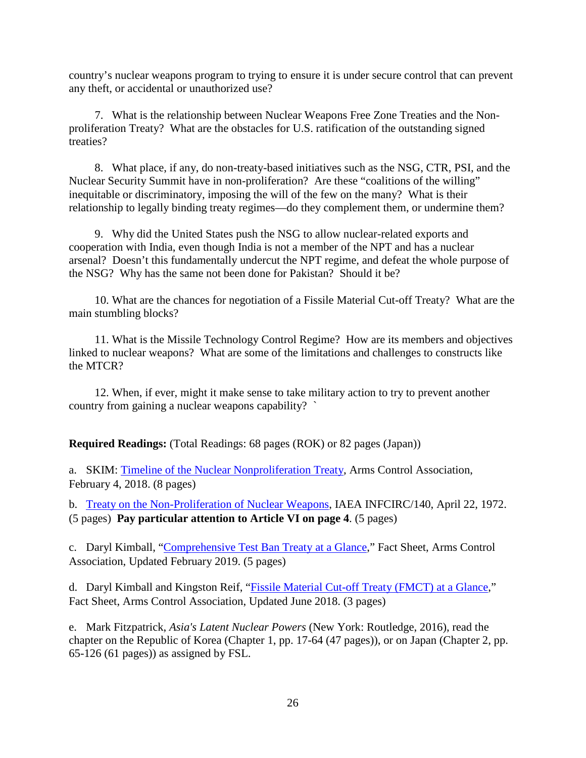country's nuclear weapons program to trying to ensure it is under secure control that can prevent any theft, or accidental or unauthorized use?

7. What is the relationship between Nuclear Weapons Free Zone Treaties and the Nonproliferation Treaty? What are the obstacles for U.S. ratification of the outstanding signed treaties?

8. What place, if any, do non-treaty-based initiatives such as the NSG, CTR, PSI, and the Nuclear Security Summit have in non-proliferation? Are these "coalitions of the willing" inequitable or discriminatory, imposing the will of the few on the many? What is their relationship to legally binding treaty regimes—do they complement them, or undermine them?

9. Why did the United States push the NSG to allow nuclear-related exports and cooperation with India, even though India is not a member of the NPT and has a nuclear arsenal? Doesn't this fundamentally undercut the NPT regime, and defeat the whole purpose of the NSG? Why has the same not been done for Pakistan? Should it be?

10. What are the chances for negotiation of a Fissile Material Cut-off Treaty? What are the main stumbling blocks?

11. What is the Missile Technology Control Regime? How are its members and objectives linked to nuclear weapons? What are some of the limitations and challenges to constructs like the MTCR?

12. When, if ever, might it make sense to take military action to try to prevent another country from gaining a nuclear weapons capability? `

**Required Readings:** (Total Readings: 68 pages (ROK) or 82 pages (Japan))

a. SKIM: Timeline [of the Nuclear Nonproliferation Treaty,](https://www.armscontrol.org/factsheets/Timeline-of-the-Treaty-on-the-Non-Proliferation-of-Nuclear-Weapons-NPT#t_1950) Arms Control Association, February 4, 2018. (8 pages)

b. [Treaty on the Non-Proliferation of Nuclear Weapons,](https://www.iaea.org/sites/default/files/publications/documents/infcircs/1970/infcirc140.pdf) IAEA INFCIRC/140, April 22, 1972. (5 pages) **Pay particular attention to Article VI on page 4**. (5 pages)

c. Daryl Kimball, ["Comprehensive Test Ban Treaty at a Glance,](https://www.armscontrol.org/factsheets/test-ban-treaty-at-a-glance)" Fact Sheet, Arms Control Association, Updated February 2019. (5 pages)

d. Daryl Kimball and Kingston Reif, ["Fissile Material Cut-off Treaty \(FMCT\) at a Glance,](https://www.armscontrol.org/factsheets/fmct)" Fact Sheet, Arms Control Association, Updated June 2018. (3 pages)

e. Mark Fitzpatrick, *Asia's Latent Nuclear Powers* (New York: Routledge, 2016), read the chapter on the Republic of Korea (Chapter 1, pp. 17-64 (47 pages)), or on Japan (Chapter 2, pp. 65-126 (61 pages)) as assigned by FSL.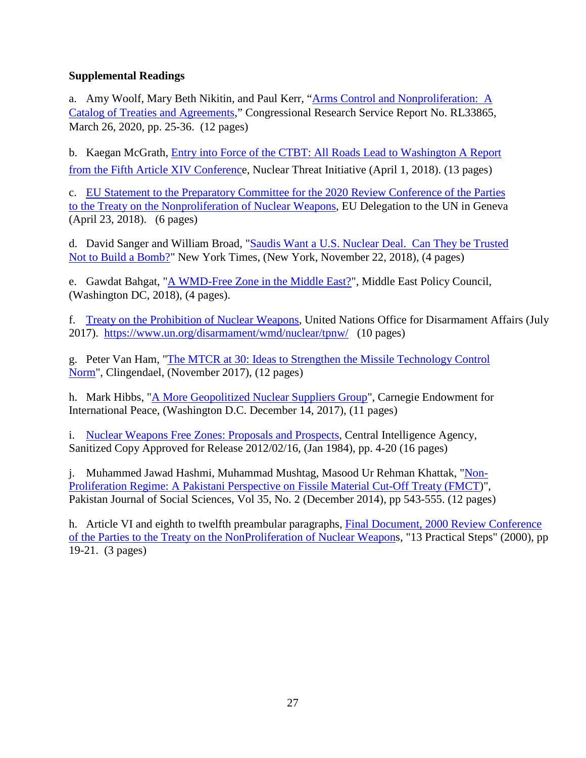### **Supplemental Readings**

a. Amy Woolf, Mary Beth Nikitin, and Paul Kerr, ["Arms Control and Nonproliferation:](https://fas.org/sgp/crs/nuke/RL33865.pdf) A [Catalog of Treaties and Agreements,](https://fas.org/sgp/crs/nuke/RL33865.pdf)" Congressional Research Service Report No. RL33865, March 26, 2020, pp. 25-36. (12 pages)

b. Kaegan McGrath, [Entry into Force of the CTBT: All Roads Lead to Washington A Report](https://www.nti.org/analysis/articles/entry-force-ctbt-report/)  [from the Fifth Article XIV Conference](https://www.nti.org/analysis/articles/entry-force-ctbt-report/), Nuclear Threat Initiative (April 1, 2018). (13 pages)

c. [EU Statement to the Preparatory Committee for the 2020 Review Conference of the Parties](https://eeas.europa.eu/headquarters/headquarters-homepage/43398/preparatory-committee-2020-review-conference-parties-treaty-non-proliferation-nuclear-weapons_en)  [to the Treaty on the Nonproliferation of Nuclear Weapons,](https://eeas.europa.eu/headquarters/headquarters-homepage/43398/preparatory-committee-2020-review-conference-parties-treaty-non-proliferation-nuclear-weapons_en) EU Delegation to the UN in Geneva (April 23, 2018). (6 pages)

d. David Sanger and William Broad, ["Saudis Want a U.S. Nuclear Deal.](https://www.nytimes.com/2018/11/22/world/middleeast/saudi-arabia-nuclear.html) Can They be Trusted [Not to Build a Bomb?"](https://www.nytimes.com/2018/11/22/world/middleeast/saudi-arabia-nuclear.html) New York Times, (New York, November 22, 2018), (4 pages)

e. Gawdat Bahgat, ["A WMD-Free Zone in the Middle East?"](https://www.mepc.org/wmd-free-zone-middle-east), Middle East Policy Council, (Washington DC, 2018), (4 pages).

f. [Treaty on the Prohibition of Nuclear Weapons,](https://www.un.org/disarmament/wmd/nuclear/tpnw/) United Nations Office for Disarmament Affairs (July 2017). <https://www.un.org/disarmament/wmd/nuclear/tpnw/> (10 pages)

g. Peter Van Ham, ["The MTCR at 30: Ideas to Strengthen the Missile Technology Control](https://www.clingendael.org/sites/default/files/2017-11/PB_The_MCTR_at_30.pdf)  [Norm"](https://www.clingendael.org/sites/default/files/2017-11/PB_The_MCTR_at_30.pdf), Clingendael, (November 2017), (12 pages)

h. Mark Hibbs, "A More Geopolitized [Nuclear Suppliers Group"](https://carnegieendowment.org/2017/12/14/more-geopoliticized-nuclear-suppliers-group-pub-75027), Carnegie Endowment for International Peace, (Washington D.C. December 14, 2017), (11 pages)

i. [Nuclear Weapons Free Zones: Proposals and Prospects,](https://www.cia.gov/library/readingroom/docs/CIA-RDP84S00895R000200070004-8.pdf) Central Intelligence Agency, Sanitized Copy Approved for Release 2012/02/16, (Jan 1984), pp. 4-20 (16 pages)

j. Muhammed Jawad Hashmi, Muhammad Mushtag, Masood Ur Rehman Khattak, ["Non-](https://www.researchgate.net/publication/304793305_Non-Proliferation_Regime_A_Pakistani_Perspective_on_Fissile_Material_Cut-Off_Treaty_FMCT)[Proliferation Regime: A Pakistani Perspective](https://www.researchgate.net/publication/304793305_Non-Proliferation_Regime_A_Pakistani_Perspective_on_Fissile_Material_Cut-Off_Treaty_FMCT) on Fissile Material Cut-Off Treaty (FMCT)", Pakistan Journal of Social Sciences, Vol 35, No. 2 (December 2014), pp 543-555. (12 pages)

h. Article VI and eighth to twelfth preambular paragraphs, [Final Document, 2000 Review Conference](https://unoda-web.s3-accelerate.amazonaws.com/wp-content/uploads/assets/WMD/Nuclear/pdf/finaldocs/2000%20-%20NY%20-%20NPT%20Review%20Conference%20-%20Final%20Document%20Parts%20I%20and%20II.pdf)  [of the Parties to the Treaty on the NonProliferation](https://unoda-web.s3-accelerate.amazonaws.com/wp-content/uploads/assets/WMD/Nuclear/pdf/finaldocs/2000%20-%20NY%20-%20NPT%20Review%20Conference%20-%20Final%20Document%20Parts%20I%20and%20II.pdf) of Nuclear Weapons, "13 Practical Steps" (2000), pp 19-21. (3 pages)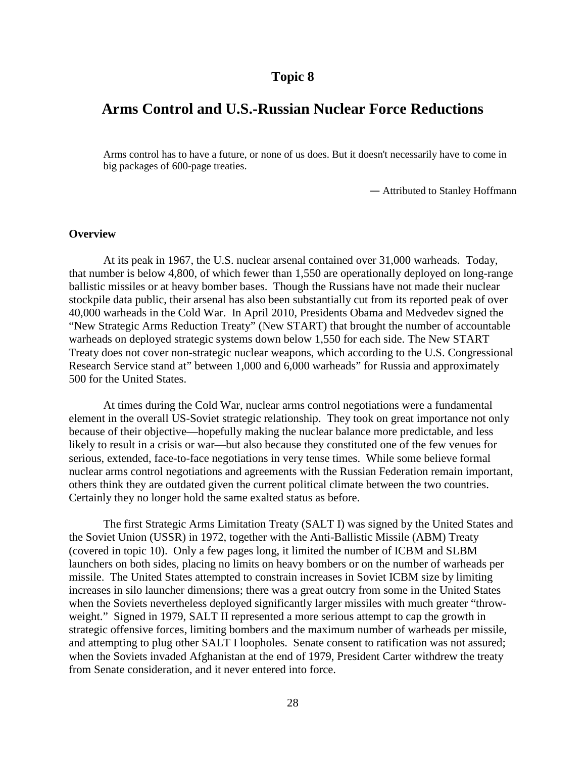## **Arms Control and U.S.-Russian Nuclear Force Reductions**

Arms control has to have a future, or none of us does. But it doesn't necessarily have to come in big packages of 600-page treaties.

— Attributed to Stanley Hoffmann

#### **Overview**

At its peak in 1967, the U.S. nuclear arsenal contained over 31,000 warheads. Today, that number is below 4,800, of which fewer than 1,550 are operationally deployed on long-range ballistic missiles or at heavy bomber bases. Though the Russians have not made their nuclear stockpile data public, their arsenal has also been substantially cut from its reported peak of over 40,000 warheads in the Cold War. In April 2010, Presidents Obama and Medvedev signed the "New Strategic Arms Reduction Treaty" (New START) that brought the number of accountable warheads on deployed strategic systems down below 1,550 for each side. The New START Treaty does not cover non-strategic nuclear weapons, which according to the U.S. Congressional Research Service stand at" between 1,000 and 6,000 warheads" for Russia and approximately 500 for the United States.

At times during the Cold War, nuclear arms control negotiations were a fundamental element in the overall US-Soviet strategic relationship. They took on great importance not only because of their objective—hopefully making the nuclear balance more predictable, and less likely to result in a crisis or war—but also because they constituted one of the few venues for serious, extended, face-to-face negotiations in very tense times. While some believe formal nuclear arms control negotiations and agreements with the Russian Federation remain important, others think they are outdated given the current political climate between the two countries. Certainly they no longer hold the same exalted status as before.

The first Strategic Arms Limitation Treaty (SALT I) was signed by the United States and the Soviet Union (USSR) in 1972, together with the Anti-Ballistic Missile (ABM) Treaty (covered in topic 10). Only a few pages long, it limited the number of ICBM and SLBM launchers on both sides, placing no limits on heavy bombers or on the number of warheads per missile. The United States attempted to constrain increases in Soviet ICBM size by limiting increases in silo launcher dimensions; there was a great outcry from some in the United States when the Soviets nevertheless deployed significantly larger missiles with much greater "throwweight." Signed in 1979, SALT II represented a more serious attempt to cap the growth in strategic offensive forces, limiting bombers and the maximum number of warheads per missile, and attempting to plug other SALT I loopholes. Senate consent to ratification was not assured; when the Soviets invaded Afghanistan at the end of 1979, President Carter withdrew the treaty from Senate consideration, and it never entered into force.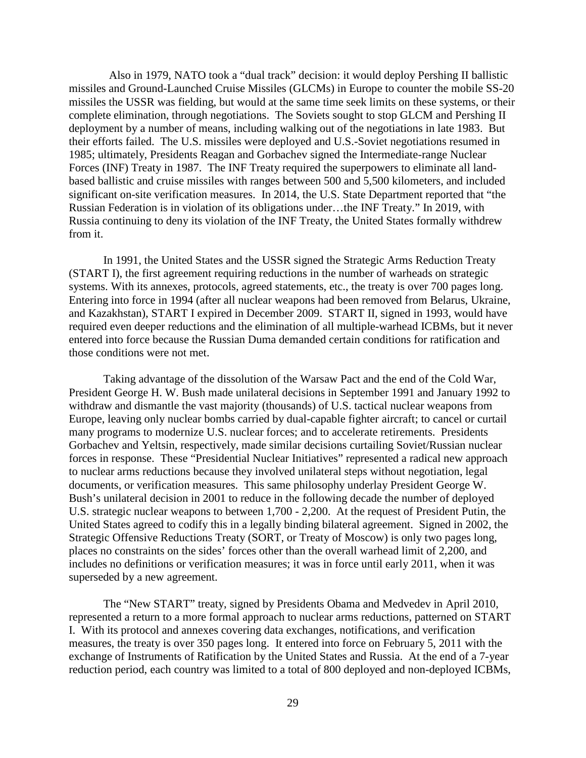Also in 1979, NATO took a "dual track" decision: it would deploy Pershing II ballistic missiles and Ground-Launched Cruise Missiles (GLCMs) in Europe to counter the mobile SS-20 missiles the USSR was fielding, but would at the same time seek limits on these systems, or their complete elimination, through negotiations. The Soviets sought to stop GLCM and Pershing II deployment by a number of means, including walking out of the negotiations in late 1983. But their efforts failed. The U.S. missiles were deployed and U.S.-Soviet negotiations resumed in 1985; ultimately, Presidents Reagan and Gorbachev signed the Intermediate-range Nuclear Forces (INF) Treaty in 1987. The INF Treaty required the superpowers to eliminate all landbased ballistic and cruise missiles with ranges between 500 and 5,500 kilometers, and included significant on-site verification measures. In 2014, the U.S. State Department reported that "the Russian Federation is in violation of its obligations under…the INF Treaty." In 2019, with Russia continuing to deny its violation of the INF Treaty, the United States formally withdrew from it.

In 1991, the United States and the USSR signed the Strategic Arms Reduction Treaty (START I), the first agreement requiring reductions in the number of warheads on strategic systems. With its annexes, protocols, agreed statements, etc., the treaty is over 700 pages long. Entering into force in 1994 (after all nuclear weapons had been removed from Belarus, Ukraine, and Kazakhstan), START I expired in December 2009. START II, signed in 1993, would have required even deeper reductions and the elimination of all multiple-warhead ICBMs, but it never entered into force because the Russian Duma demanded certain conditions for ratification and those conditions were not met.

Taking advantage of the dissolution of the Warsaw Pact and the end of the Cold War, President George H. W. Bush made unilateral decisions in September 1991 and January 1992 to withdraw and dismantle the vast majority (thousands) of U.S. tactical nuclear weapons from Europe, leaving only nuclear bombs carried by dual-capable fighter aircraft; to cancel or curtail many programs to modernize U.S. nuclear forces; and to accelerate retirements. Presidents Gorbachev and Yeltsin, respectively, made similar decisions curtailing Soviet/Russian nuclear forces in response. These "Presidential Nuclear Initiatives" represented a radical new approach to nuclear arms reductions because they involved unilateral steps without negotiation, legal documents, or verification measures. This same philosophy underlay President George W. Bush's unilateral decision in 2001 to reduce in the following decade the number of deployed U.S. strategic nuclear weapons to between 1,700 - 2,200. At the request of President Putin, the United States agreed to codify this in a legally binding bilateral agreement. Signed in 2002, the Strategic Offensive Reductions Treaty (SORT, or Treaty of Moscow) is only two pages long, places no constraints on the sides' forces other than the overall warhead limit of 2,200, and includes no definitions or verification measures; it was in force until early 2011, when it was superseded by a new agreement.

The "New START" treaty, signed by Presidents Obama and Medvedev in April 2010, represented a return to a more formal approach to nuclear arms reductions, patterned on START I. With its protocol and annexes covering data exchanges, notifications, and verification measures, the treaty is over 350 pages long. It entered into force on February 5, 2011 with the exchange of Instruments of Ratification by the United States and Russia. At the end of a 7-year reduction period, each country was limited to a total of 800 deployed and non-deployed ICBMs,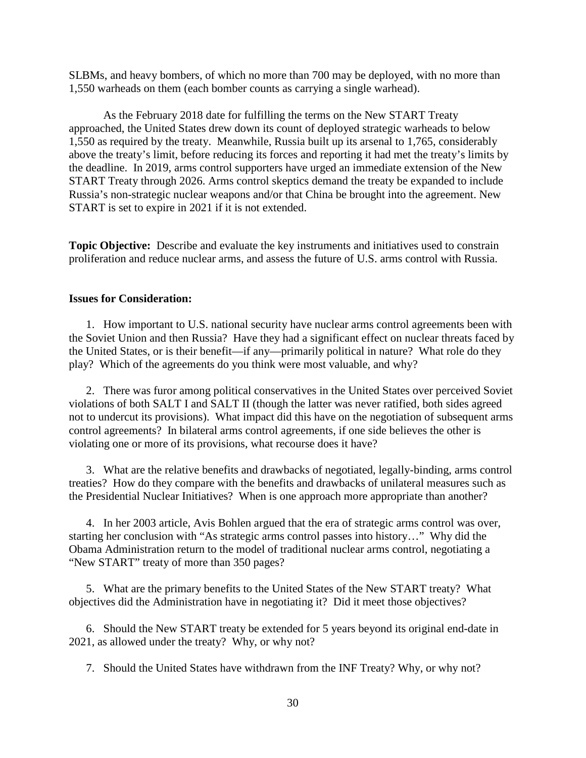SLBMs, and heavy bombers, of which no more than 700 may be deployed, with no more than 1,550 warheads on them (each bomber counts as carrying a single warhead).

As the February 2018 date for fulfilling the terms on the New START Treaty approached, the United States drew down its count of deployed strategic warheads to below 1,550 as required by the treaty. Meanwhile, Russia built up its arsenal to 1,765, considerably above the treaty's limit, before reducing its forces and reporting it had met the treaty's limits by the deadline. In 2019, arms control supporters have urged an immediate extension of the New START Treaty through 2026. Arms control skeptics demand the treaty be expanded to include Russia's non-strategic nuclear weapons and/or that China be brought into the agreement. New START is set to expire in 2021 if it is not extended.

**Topic Objective:** Describe and evaluate the key instruments and initiatives used to constrain proliferation and reduce nuclear arms, and assess the future of U.S. arms control with Russia.

#### **Issues for Consideration:**

1. How important to U.S. national security have nuclear arms control agreements been with the Soviet Union and then Russia? Have they had a significant effect on nuclear threats faced by the United States, or is their benefit—if any—primarily political in nature? What role do they play? Which of the agreements do you think were most valuable, and why?

2. There was furor among political conservatives in the United States over perceived Soviet violations of both SALT I and SALT II (though the latter was never ratified, both sides agreed not to undercut its provisions). What impact did this have on the negotiation of subsequent arms control agreements? In bilateral arms control agreements, if one side believes the other is violating one or more of its provisions, what recourse does it have?

3. What are the relative benefits and drawbacks of negotiated, legally-binding, arms control treaties? How do they compare with the benefits and drawbacks of unilateral measures such as the Presidential Nuclear Initiatives? When is one approach more appropriate than another?

4. In her 2003 article, Avis Bohlen argued that the era of strategic arms control was over, starting her conclusion with "As strategic arms control passes into history…" Why did the Obama Administration return to the model of traditional nuclear arms control, negotiating a "New START" treaty of more than 350 pages?

5. What are the primary benefits to the United States of the New START treaty? What objectives did the Administration have in negotiating it? Did it meet those objectives?

6. Should the New START treaty be extended for 5 years beyond its original end-date in 2021, as allowed under the treaty? Why, or why not?

7. Should the United States have withdrawn from the INF Treaty? Why, or why not?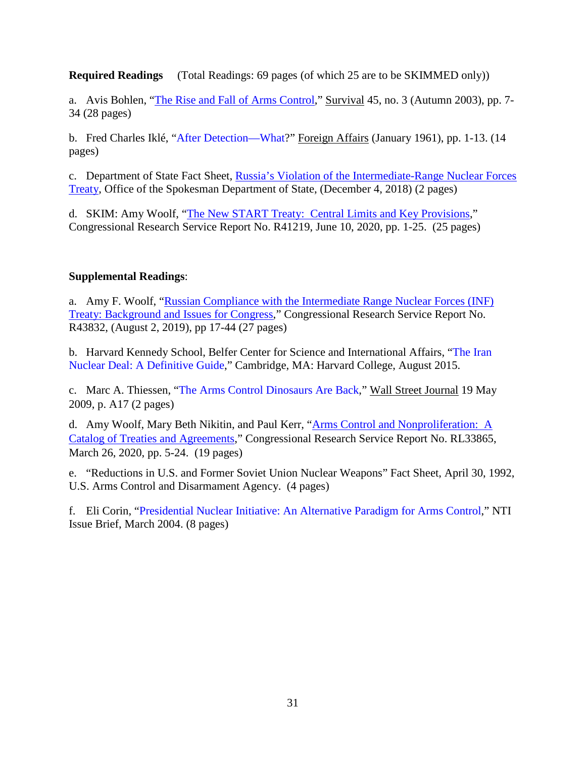**Required Readings** (Total Readings: 69 pages (of which 25 are to be SKIMMED only))

a. Avis Bohlen, ["The Rise and Fall of Arms Control,](https://www.tandfonline.com/doi/abs/10.1080/0039.2003.10071605)" Survival 45, no. 3 (Autumn 2003), pp. 7- 34 (28 pages)

b. Fred Charles Iklé, ["After Detection—What?](https://www.foreignaffairs.com/articles/1961-01-01/after-detection-what)" Foreign Affairs (January 1961), pp. 1-13. (14 pages)

c. Department of State Fact Sheet, [Russia's Violation of the Intermediate-Range Nuclear Forces](https://www.state.gov/russias-violation-of-the-intermediate-range-nuclear-forces-inf-treaty/)  [Treaty,](https://www.state.gov/russias-violation-of-the-intermediate-range-nuclear-forces-inf-treaty/) Office of the Spokesman Department of State, (December 4, 2018) (2 pages)

d. SKIM: Amy Woolf, ["The New START Treaty: Central Limits and Key Provisions,](https://fas.org/sgp/crs/nuke/R41219.pdf)" Congressional Research Service Report No. R41219, June 10, 2020, pp. 1-25. (25 pages)

#### **Supplemental Readings**:

a. Amy F. Woolf, ["Russian Compliance with the Intermediate Range Nuclear Forces \(INF\)](https://fas.org/sgp/crs/nuke/R43832.pdf)  [Treaty: Background and Issues for Congress,](https://fas.org/sgp/crs/nuke/R43832.pdf)" Congressional Research Service Report No. R43832, (August 2, 2019), pp 17-44 (27 pages)

b. Harvard Kennedy School, Belfer Center for Science and International Affairs, ["The Iran](http://belfercenter.ksg.harvard.edu/files/IranDealDefinitiveGuide.pdf?webSyncID=30880816-26bb-09de-13e8-4da108d57178&sessionGUID=05969325-9cba-6cb1-93a3-3a3ab742cb76)  [Nuclear Deal: A Definitive Guide,](http://belfercenter.ksg.harvard.edu/files/IranDealDefinitiveGuide.pdf?webSyncID=30880816-26bb-09de-13e8-4da108d57178&sessionGUID=05969325-9cba-6cb1-93a3-3a3ab742cb76)" Cambridge, MA: Harvard College, August 2015.

c. Marc A. Thiessen, ["The Arms Control Dinosaurs Are Back,](http://online.wsj.com/article/SB124268963178032407.html)" Wall Street Journal 19 May 2009, p. A17 (2 pages)

d. Amy Woolf, Mary Beth Nikitin, and Paul Kerr, ["Arms Control and Nonproliferation:](https://fas.org/sgp/crs/nuke/RL33865.pdf) A [Catalog of Treaties and Agreements,](https://fas.org/sgp/crs/nuke/RL33865.pdf)" Congressional Research Service Report No. RL33865, March 26, 2020, pp. 5-24. (19 pages)

e. "Reductions in U.S. and Former Soviet Union Nuclear Weapons" Fact Sheet, April 30, 1992, U.S. Arms Control and Disarmament Agency. (4 pages)

f. Eli Corin, ["Presidential Nuclear Initiative: An Alternative Paradigm for Arms Control,](http://www.nti.org/analysis/articles/presidential-nuclear-initiatives/)" NTI Issue Brief, March 2004. (8 pages)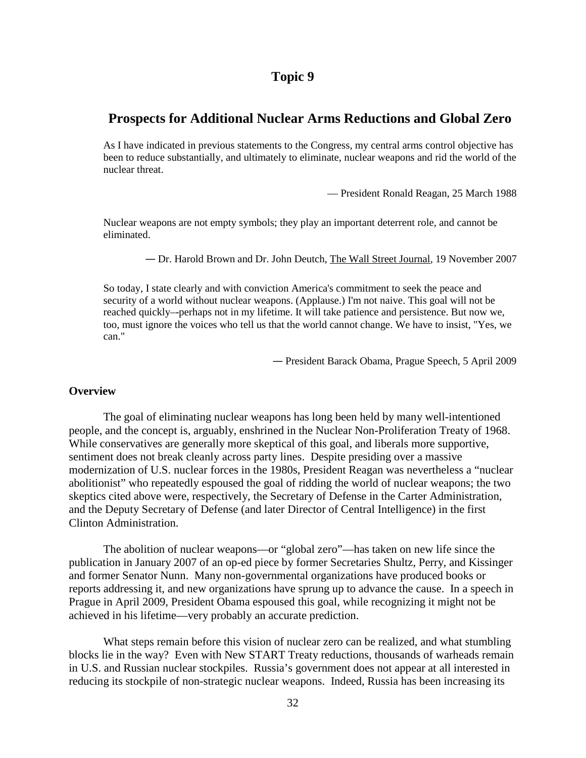## **Prospects for Additional Nuclear Arms Reductions and Global Zero**

As I have indicated in previous statements to the Congress, my central arms control objective has been to reduce substantially, and ultimately to eliminate, nuclear weapons and rid the world of the nuclear threat.

— President Ronald Reagan, 25 March 1988

Nuclear weapons are not empty symbols; they play an important deterrent role, and cannot be eliminated.

— Dr. Harold Brown and Dr. John Deutch, The Wall Street Journal*,* 19 November 2007

So today, I state clearly and with conviction America's commitment to seek the peace and security of a world without nuclear weapons. (Applause.) I'm not naive. This goal will not be reached quickly–-perhaps not in my lifetime. It will take patience and persistence. But now we, too, must ignore the voices who tell us that the world cannot change. We have to insist, "Yes, we can."

— President Barack Obama, Prague Speech*,* 5 April 2009

#### **Overview**

The goal of eliminating nuclear weapons has long been held by many well-intentioned people, and the concept is, arguably, enshrined in the Nuclear Non-Proliferation Treaty of 1968. While conservatives are generally more skeptical of this goal, and liberals more supportive, sentiment does not break cleanly across party lines. Despite presiding over a massive modernization of U.S. nuclear forces in the 1980s, President Reagan was nevertheless a "nuclear abolitionist" who repeatedly espoused the goal of ridding the world of nuclear weapons; the two skeptics cited above were, respectively, the Secretary of Defense in the Carter Administration, and the Deputy Secretary of Defense (and later Director of Central Intelligence) in the first Clinton Administration.

The abolition of nuclear weapons—or "global zero"—has taken on new life since the publication in January 2007 of an op-ed piece by former Secretaries Shultz, Perry, and Kissinger and former Senator Nunn. Many non-governmental organizations have produced books or reports addressing it, and new organizations have sprung up to advance the cause. In a speech in Prague in April 2009, President Obama espoused this goal, while recognizing it might not be achieved in his lifetime—very probably an accurate prediction.

What steps remain before this vision of nuclear zero can be realized, and what stumbling blocks lie in the way? Even with New START Treaty reductions, thousands of warheads remain in U.S. and Russian nuclear stockpiles. Russia's government does not appear at all interested in reducing its stockpile of non-strategic nuclear weapons. Indeed, Russia has been increasing its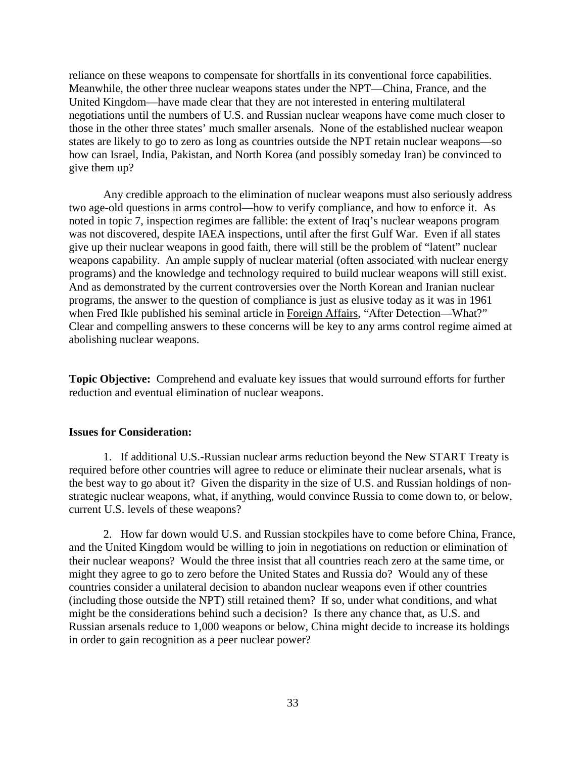reliance on these weapons to compensate for shortfalls in its conventional force capabilities. Meanwhile, the other three nuclear weapons states under the NPT—China, France, and the United Kingdom—have made clear that they are not interested in entering multilateral negotiations until the numbers of U.S. and Russian nuclear weapons have come much closer to those in the other three states' much smaller arsenals. None of the established nuclear weapon states are likely to go to zero as long as countries outside the NPT retain nuclear weapons—so how can Israel, India, Pakistan, and North Korea (and possibly someday Iran) be convinced to give them up?

Any credible approach to the elimination of nuclear weapons must also seriously address two age-old questions in arms control—how to verify compliance, and how to enforce it. As noted in topic 7, inspection regimes are fallible: the extent of Iraq's nuclear weapons program was not discovered, despite IAEA inspections, until after the first Gulf War. Even if all states give up their nuclear weapons in good faith, there will still be the problem of "latent" nuclear weapons capability. An ample supply of nuclear material (often associated with nuclear energy programs) and the knowledge and technology required to build nuclear weapons will still exist. And as demonstrated by the current controversies over the North Korean and Iranian nuclear programs, the answer to the question of compliance is just as elusive today as it was in 1961 when Fred Ikle published his seminal article in Foreign Affairs, "After Detection—What?" Clear and compelling answers to these concerns will be key to any arms control regime aimed at abolishing nuclear weapons.

**Topic Objective:** Comprehend and evaluate key issues that would surround efforts for further reduction and eventual elimination of nuclear weapons.

#### **Issues for Consideration:**

1. If additional U.S.-Russian nuclear arms reduction beyond the New START Treaty is required before other countries will agree to reduce or eliminate their nuclear arsenals, what is the best way to go about it? Given the disparity in the size of U.S. and Russian holdings of nonstrategic nuclear weapons, what, if anything, would convince Russia to come down to, or below, current U.S. levels of these weapons?

2. How far down would U.S. and Russian stockpiles have to come before China, France, and the United Kingdom would be willing to join in negotiations on reduction or elimination of their nuclear weapons? Would the three insist that all countries reach zero at the same time, or might they agree to go to zero before the United States and Russia do? Would any of these countries consider a unilateral decision to abandon nuclear weapons even if other countries (including those outside the NPT) still retained them? If so, under what conditions, and what might be the considerations behind such a decision? Is there any chance that, as U.S. and Russian arsenals reduce to 1,000 weapons or below, China might decide to increase its holdings in order to gain recognition as a peer nuclear power?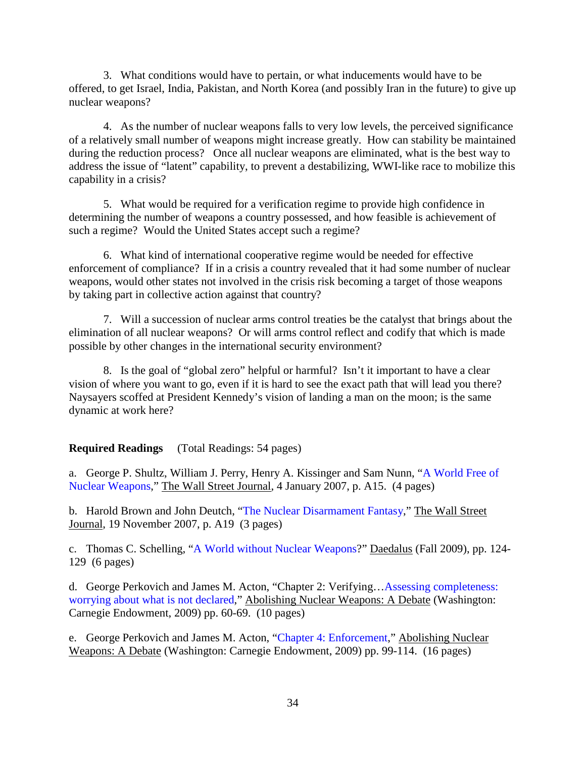3. What conditions would have to pertain, or what inducements would have to be offered, to get Israel, India, Pakistan, and North Korea (and possibly Iran in the future) to give up nuclear weapons?

4. As the number of nuclear weapons falls to very low levels, the perceived significance of a relatively small number of weapons might increase greatly. How can stability be maintained during the reduction process? Once all nuclear weapons are eliminated, what is the best way to address the issue of "latent" capability, to prevent a destabilizing, WWI-like race to mobilize this capability in a crisis?

5. What would be required for a verification regime to provide high confidence in determining the number of weapons a country possessed, and how feasible is achievement of such a regime? Would the United States accept such a regime?

6. What kind of international cooperative regime would be needed for effective enforcement of compliance? If in a crisis a country revealed that it had some number of nuclear weapons, would other states not involved in the crisis risk becoming a target of those weapons by taking part in collective action against that country?

7. Will a succession of nuclear arms control treaties be the catalyst that brings about the elimination of all nuclear weapons? Or will arms control reflect and codify that which is made possible by other changes in the international security environment?

8. Is the goal of "global zero" helpful or harmful? Isn't it important to have a clear vision of where you want to go, even if it is hard to see the exact path that will lead you there? Naysayers scoffed at President Kennedy's vision of landing a man on the moon; is the same dynamic at work here?

### **Required Readings** (Total Readings: 54 pages)

a. George P. Shultz, William J. Perry, Henry A. Kissinger and Sam Nunn, ["A World Free of](http://www.wsj.com/articles/SB116787515251566636)  [Nuclear Weapons,](http://www.wsj.com/articles/SB116787515251566636)" The Wall Street Journal, 4 January 2007, p. A15. (4 pages)

b. Harold Brown and John Deutch, ["The Nuclear Disarmament Fantasy,](http://www.wsj.com/articles/SB119542524645797257)" The Wall Street Journal, 19 November 2007, p. A19 (3 pages)

c. Thomas C. Schelling, ["A World without Nuclear Weapons?](https://www.amacad.org/content/publications/pubContent.aspx?d=945)" Daedalus (Fall 2009), pp. 124- 129 (6 pages)

d. George Perkovich and James M. Acton, "Chapter 2: Verifying[…Assessing completeness:](http://www.carnegieendowment.org/files/abolishing_nuclear_weapons_debate.pdf)  [worrying about what is not declared,](http://www.carnegieendowment.org/files/abolishing_nuclear_weapons_debate.pdf)" Abolishing Nuclear Weapons: A Debate (Washington: Carnegie Endowment, 2009) pp. 60-69. (10 pages)

e. George Perkovich and James M. Acton, ["Chapter 4: Enforcement,](http://www.carnegieendowment.org/files/abolishing_nuclear_weapons_debate.pdf)" Abolishing Nuclear Weapons: A Debate (Washington: Carnegie Endowment, 2009) pp. 99-114. (16 pages)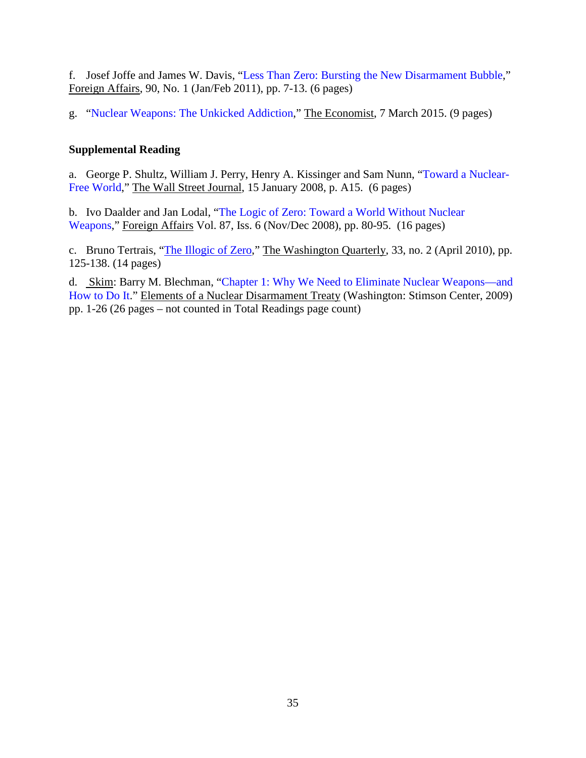f. Josef Joffe and James W. Davis, ["Less Than Zero: Bursting the New Disarmament Bubble,](https://nduezproxy.idm.oclc.org/login?url=http://search.ebscohost.com/login.aspx?direct=true&db=aph&AN=56623845&site=ehost-live&scope=site)" Foreign Affairs, 90, No. 1 (Jan/Feb 2011), pp. 7-13. (6 pages)

g. ["Nuclear Weapons: The Unkicked Addiction,](http://www.economist.com/news/briefing/21645840-despite-optimistic-attempts-rid-world-nuclear-weapons-threat-they-pose-peace)" The Economist, 7 March 2015. (9 pages)

### **Supplemental Reading**

a. George P. Shultz, William J. Perry, Henry A. Kissinger and Sam Nunn, ["Toward a Nuclear-](https://nduezproxy.idm.oclc.org/login?url=http://proquest.umi.com/pqdweb?did=1412798561&sid=5&Fmt=3&clientId=3921&RQT=309&VName=PQD)[Free World,](https://nduezproxy.idm.oclc.org/login?url=http://proquest.umi.com/pqdweb?did=1412798561&sid=5&Fmt=3&clientId=3921&RQT=309&VName=PQD)" The Wall Street Journal, 15 January 2008, p. A15. (6 pages)

b. Ivo Daalder and Jan Lodal, ["The Logic of Zero: Toward a World Without Nuclear](https://nduezproxy.idm.oclc.org/login?url=http://proquest.umi.com/pqdweb?did=1581257971&sid=3&Fmt=3&clientId=3921&RQT=309&VName=PQD)  [Weapons,](https://nduezproxy.idm.oclc.org/login?url=http://proquest.umi.com/pqdweb?did=1581257971&sid=3&Fmt=3&clientId=3921&RQT=309&VName=PQD)" Foreign Affairs Vol. 87, Iss. 6 [\(Nov/Dec 2008\)](http://proquest.umi.com/pqdweb?RQT=572&VType=PQD&VName=PQD&VInst=PROD&pmid=6&pcid=40803371&SrchMode=3), pp. 80-95. (16 pages)

c. Bruno Tertrais, ["The Illogic of Zero,](http://www.metu.edu.tr/%7Eutuba/Tertrais.pdf)" The Washington Quarterly, 33, no. 2 (April 2010), pp. 125-138. (14 pages)

d. Skim: Barry M. Blechman, ["Chapter 1: Why We Need to Eliminate Nuclear Weapons—and](http://www.stimson.org/images/uploads/research-pdfs/Chap_1_Blechman__Formatted.pdf)  [How to Do It.](http://www.stimson.org/images/uploads/research-pdfs/Chap_1_Blechman__Formatted.pdf)" Elements of a Nuclear Disarmament Treaty (Washington: Stimson Center, 2009) pp. 1-26 (26 pages – not counted in Total Readings page count)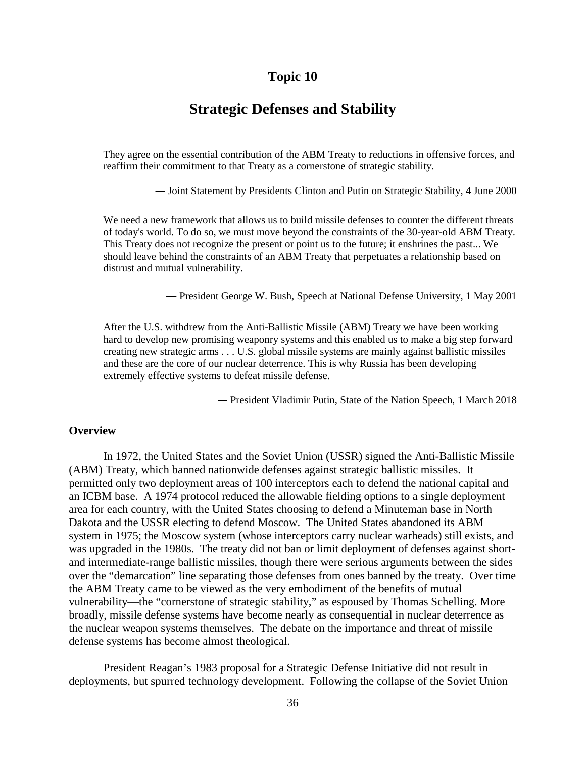## **Strategic Defenses and Stability**

They agree on the essential contribution of the ABM Treaty to reductions in offensive forces, and reaffirm their commitment to that Treaty as a cornerstone of strategic stability.

— Joint Statement by Presidents Clinton and Putin on Strategic Stability, 4 June 2000

We need a new framework that allows us to build missile defenses to counter the different threats of today's world. To do so, we must move beyond the constraints of the 30-year-old ABM Treaty. This Treaty does not recognize the present or point us to the future; it enshrines the past... We should leave behind the constraints of an ABM Treaty that perpetuates a relationship based on distrust and mutual vulnerability.

— President George W. Bush, Speech at National Defense University, 1 May 2001

After the U.S. withdrew from the Anti-Ballistic Missile (ABM) Treaty we have been working hard to develop new promising weaponry systems and this enabled us to make a big step forward creating new strategic arms . . . U.S. global missile systems are mainly against ballistic missiles and these are the core of our nuclear deterrence. This is why Russia has been developing extremely effective systems to defeat missile defense.

— President Vladimir Putin, State of the Nation Speech, 1 March 2018

#### **Overview**

In 1972, the United States and the Soviet Union (USSR) signed the Anti-Ballistic Missile (ABM) Treaty, which banned nationwide defenses against strategic ballistic missiles. It permitted only two deployment areas of 100 interceptors each to defend the national capital and an ICBM base. A 1974 protocol reduced the allowable fielding options to a single deployment area for each country, with the United States choosing to defend a Minuteman base in North Dakota and the USSR electing to defend Moscow. The United States abandoned its ABM system in 1975; the Moscow system (whose interceptors carry nuclear warheads) still exists, and was upgraded in the 1980s. The treaty did not ban or limit deployment of defenses against shortand intermediate-range ballistic missiles, though there were serious arguments between the sides over the "demarcation" line separating those defenses from ones banned by the treaty. Over time the ABM Treaty came to be viewed as the very embodiment of the benefits of mutual vulnerability—the "cornerstone of strategic stability," as espoused by Thomas Schelling. More broadly, missile defense systems have become nearly as consequential in nuclear deterrence as the nuclear weapon systems themselves. The debate on the importance and threat of missile defense systems has become almost theological.

President Reagan's 1983 proposal for a Strategic Defense Initiative did not result in deployments, but spurred technology development. Following the collapse of the Soviet Union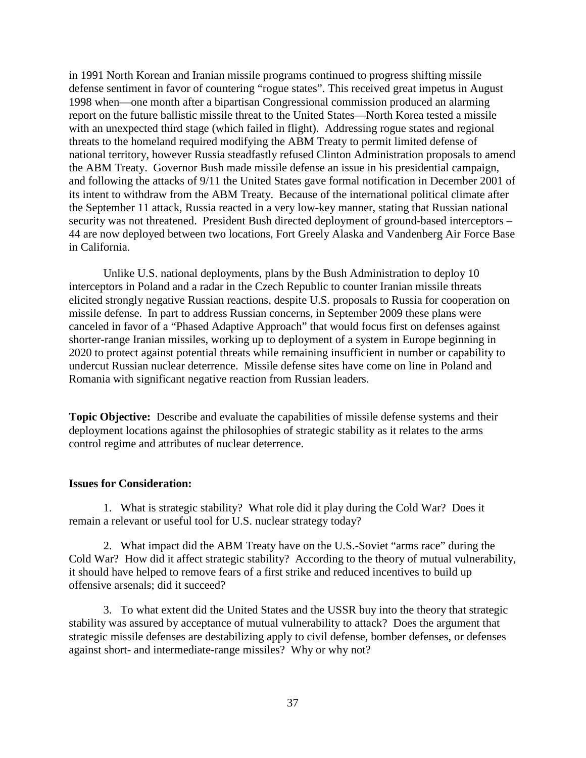in 1991 North Korean and Iranian missile programs continued to progress shifting missile defense sentiment in favor of countering "rogue states". This received great impetus in August 1998 when—one month after a bipartisan Congressional commission produced an alarming report on the future ballistic missile threat to the United States—North Korea tested a missile with an unexpected third stage (which failed in flight). Addressing rogue states and regional threats to the homeland required modifying the ABM Treaty to permit limited defense of national territory, however Russia steadfastly refused Clinton Administration proposals to amend the ABM Treaty. Governor Bush made missile defense an issue in his presidential campaign, and following the attacks of 9/11 the United States gave formal notification in December 2001 of its intent to withdraw from the ABM Treaty. Because of the international political climate after the September 11 attack, Russia reacted in a very low-key manner, stating that Russian national security was not threatened. President Bush directed deployment of ground-based interceptors – 44 are now deployed between two locations, Fort Greely Alaska and Vandenberg Air Force Base in California.

Unlike U.S. national deployments, plans by the Bush Administration to deploy 10 interceptors in Poland and a radar in the Czech Republic to counter Iranian missile threats elicited strongly negative Russian reactions, despite U.S. proposals to Russia for cooperation on missile defense. In part to address Russian concerns, in September 2009 these plans were canceled in favor of a "Phased Adaptive Approach" that would focus first on defenses against shorter-range Iranian missiles, working up to deployment of a system in Europe beginning in 2020 to protect against potential threats while remaining insufficient in number or capability to undercut Russian nuclear deterrence. Missile defense sites have come on line in Poland and Romania with significant negative reaction from Russian leaders.

**Topic Objective:** Describe and evaluate the capabilities of missile defense systems and their deployment locations against the philosophies of strategic stability as it relates to the arms control regime and attributes of nuclear deterrence.

#### **Issues for Consideration:**

1. What is strategic stability? What role did it play during the Cold War? Does it remain a relevant or useful tool for U.S. nuclear strategy today?

2. What impact did the ABM Treaty have on the U.S.-Soviet "arms race" during the Cold War? How did it affect strategic stability? According to the theory of mutual vulnerability, it should have helped to remove fears of a first strike and reduced incentives to build up offensive arsenals; did it succeed?

3. To what extent did the United States and the USSR buy into the theory that strategic stability was assured by acceptance of mutual vulnerability to attack? Does the argument that strategic missile defenses are destabilizing apply to civil defense, bomber defenses, or defenses against short- and intermediate-range missiles? Why or why not?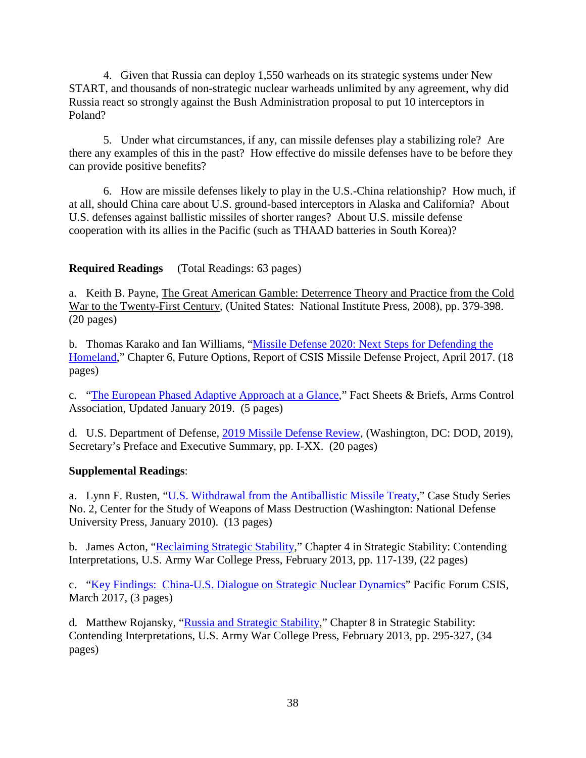4. Given that Russia can deploy 1,550 warheads on its strategic systems under New START, and thousands of non-strategic nuclear warheads unlimited by any agreement, why did Russia react so strongly against the Bush Administration proposal to put 10 interceptors in Poland?

5. Under what circumstances, if any, can missile defenses play a stabilizing role? Are there any examples of this in the past? How effective do missile defenses have to be before they can provide positive benefits?

6. How are missile defenses likely to play in the U.S.-China relationship? How much, if at all, should China care about U.S. ground-based interceptors in Alaska and California? About U.S. defenses against ballistic missiles of shorter ranges? About U.S. missile defense cooperation with its allies in the Pacific (such as THAAD batteries in South Korea)?

**Required Readings** (Total Readings: 63 pages)

a. Keith B. Payne, The Great American Gamble: Deterrence Theory and Practice from the Cold War to the Twenty-First Century, (United States: National Institute Press, 2008), pp. 379-398. (20 pages)

b. Thomas Karako and Ian Williams, ["Missile Defense 2020: Next Steps for Defending the](https://www.csis.org/analysis/missile-defense-2020)  [Homeland,](https://www.csis.org/analysis/missile-defense-2020)" Chapter 6, Future Options, Report of CSIS Missile Defense Project, April 2017. (18 pages)

c. ["The European Phased Adaptive Approach at a Glance,](https://www.armscontrol.org/factsheets/Phasedadaptiveapproach)" Fact Sheets & Briefs, Arms Control Association, Updated January 2019. (5 pages)

d. U.S. Department of Defense, [2019 Missile Defense Review,](https://media.defense.gov/2019/Jan/17/2002080666/-1/-1/1/2019-MISSILE-DEFENSE-REVIEW.PDF) (Washington, DC: DOD, 2019), Secretary's Preface and Executive Summary, pp. I-XX. (20 pages)

### **Supplemental Readings**:

a. Lynn F. Rusten, ["U.S. Withdrawal from the Antiballistic Missile Treaty,](https://ndupress.ndu.edu/Portals/68/Documents/casestudies/CSWMD_CaseStudy-2.pdf)" Case Study Series No. 2, Center for the Study of Weapons of Mass Destruction (Washington: National Defense University Press, January 2010). (13 pages)

b. James Acton, ["Reclaiming Strategic Stability,](https://carnegieendowment.org/files/Reclaiming_Strategic_Stability.pdf)" Chapter 4 in Strategic Stability: Contending Interpretations, U.S. Army War College Press, February 2013, pp. 117-139, (22 pages)

c. ["Key Findings: China-U.S. Dialogue on Strategic Nuclear Dynamics"](https://csis-prod.s3.amazonaws.com/s3fs-public/event/03232017_USChinaSND_KF_0.pdf?1oo3S4KipDCM99vl7OcconfGAbDimpqE) Pacific Forum CSIS, March 2017, (3 pages)

d. Matthew Rojansky, ["Russia and Strategic Stability,](https://carnegieendowment.org/files/Reclaiming_Strategic_Stability.pdf)" Chapter 8 in Strategic Stability: Contending Interpretations, U.S. Army War College Press, February 2013, pp. 295-327, (34 pages)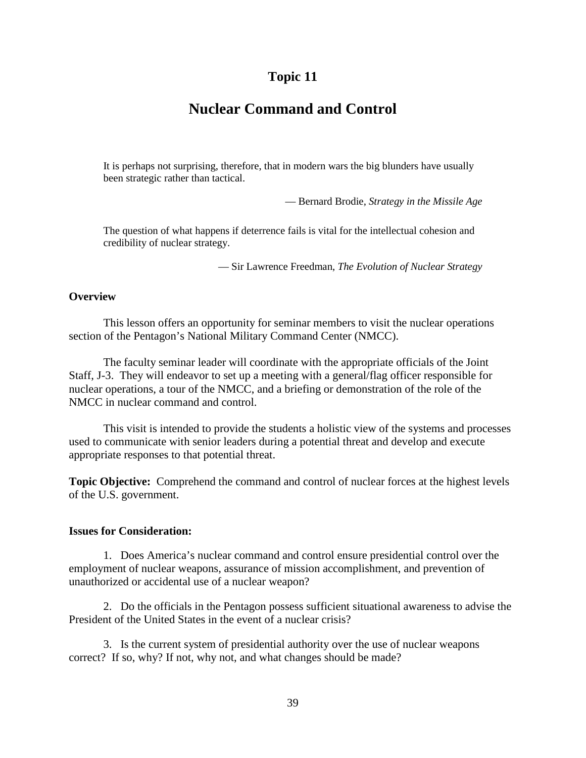## **Nuclear Command and Control**

It is perhaps not surprising, therefore, that in modern wars the big blunders have usually been strategic rather than tactical.

— Bernard Brodie, *Strategy in the Missile Age*

The question of what happens if deterrence fails is vital for the intellectual cohesion and credibility of nuclear strategy.

— Sir Lawrence Freedman, *The Evolution of Nuclear Strategy*

#### **Overview**

This lesson offers an opportunity for seminar members to visit the nuclear operations section of the Pentagon's National Military Command Center (NMCC).

The faculty seminar leader will coordinate with the appropriate officials of the Joint Staff, J-3. They will endeavor to set up a meeting with a general/flag officer responsible for nuclear operations, a tour of the NMCC, and a briefing or demonstration of the role of the NMCC in nuclear command and control.

This visit is intended to provide the students a holistic view of the systems and processes used to communicate with senior leaders during a potential threat and develop and execute appropriate responses to that potential threat.

**Topic Objective:** Comprehend the command and control of nuclear forces at the highest levels of the U.S. government.

#### **Issues for Consideration:**

1. Does America's nuclear command and control ensure presidential control over the employment of nuclear weapons, assurance of mission accomplishment, and prevention of unauthorized or accidental use of a nuclear weapon?

2. Do the officials in the Pentagon possess sufficient situational awareness to advise the President of the United States in the event of a nuclear crisis?

3. Is the current system of presidential authority over the use of nuclear weapons correct? If so, why? If not, why not, and what changes should be made?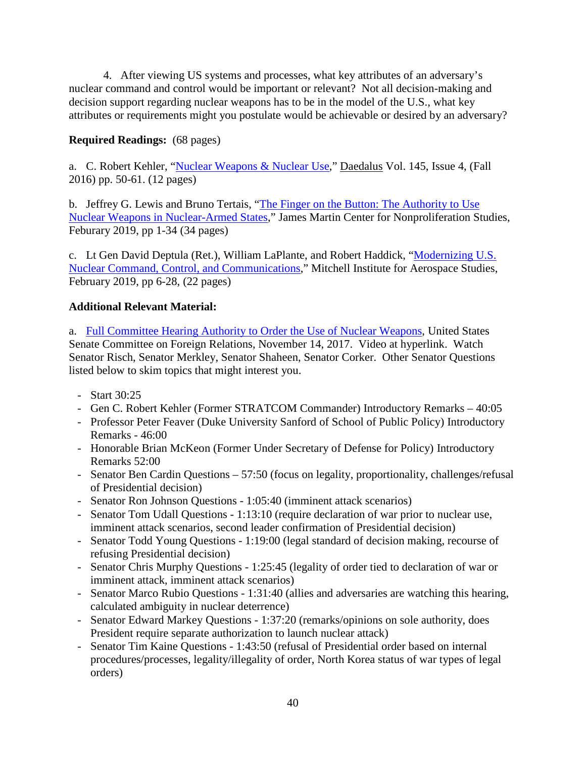4. After viewing US systems and processes, what key attributes of an adversary's nuclear command and control would be important or relevant? Not all decision-making and decision support regarding nuclear weapons has to be in the model of the U.S., what key attributes or requirements might you postulate would be achievable or desired by an adversary?

### **Required Readings:** (68 pages)

a. C. Robert Kehler, ["Nuclear Weapons & Nuclear Use,](https://www.mitpressjournals.org/doi/abs/10.1162/DAED_a_00411)" Daedalus Vol. 145, Issue 4, (Fall 2016) pp. 50-61. (12 pages)

b. Jeffrey G. Lewis and Bruno Tertais, ["The Finger on the Button: The Authority to Use](https://www.nonproliferation.org/wp-content/uploads/2019/02/Finger-on-the-Nuclear-Button.pdf)  [Nuclear Weapons in Nuclear-Armed States,](https://www.nonproliferation.org/wp-content/uploads/2019/02/Finger-on-the-Nuclear-Button.pdf)" James Martin Center for Nonproliferation Studies, Feburary 2019, pp 1-34 (34 pages)

c. Lt Gen David Deptula (Ret.), William LaPlante, and Robert Haddick, ["Modernizing U.S.](http://www.mitchellaerospacepower.org/nc3)  [Nuclear Command, Control, and Communications,](http://www.mitchellaerospacepower.org/nc3)" Mitchell Institute for Aerospace Studies, February 2019, pp 6-28, (22 pages)

### **Additional Relevant Material:**

a. Full Committee Hearing [Authority to Order the Use of Nuclear Weapons,](https://www.foreign.senate.gov/hearings/watch?hearingid=2BBCD985-5056-A066-608C-694C345A1176) United States Senate Committee on Foreign Relations, November 14, 2017. Video at hyperlink. Watch Senator Risch, Senator Merkley, Senator Shaheen, Senator Corker. Other Senator Questions listed below to skim topics that might interest you.

- Start 30:25
- Gen C. Robert Kehler (Former STRATCOM Commander) Introductory Remarks 40:05
- Professor Peter Feaver (Duke University Sanford of School of Public Policy) Introductory Remarks - 46:00
- Honorable Brian McKeon (Former Under Secretary of Defense for Policy) Introductory Remarks 52:00
- Senator Ben Cardin Questions 57:50 (focus on legality, proportionality, challenges/refusal of Presidential decision)
- Senator Ron Johnson Questions 1:05:40 (imminent attack scenarios)
- Senator Tom Udall Questions 1:13:10 (require declaration of war prior to nuclear use, imminent attack scenarios, second leader confirmation of Presidential decision)
- Senator Todd Young Questions 1:19:00 (legal standard of decision making, recourse of refusing Presidential decision)
- Senator Chris Murphy Questions 1:25:45 (legality of order tied to declaration of war or imminent attack, imminent attack scenarios)
- Senator Marco Rubio Questions 1:31:40 (allies and adversaries are watching this hearing, calculated ambiguity in nuclear deterrence)
- Senator Edward Markey Questions 1:37:20 (remarks/opinions on sole authority, does President require separate authorization to launch nuclear attack)
- Senator Tim Kaine Questions 1:43:50 (refusal of Presidential order based on internal procedures/processes, legality/illegality of order, North Korea status of war types of legal orders)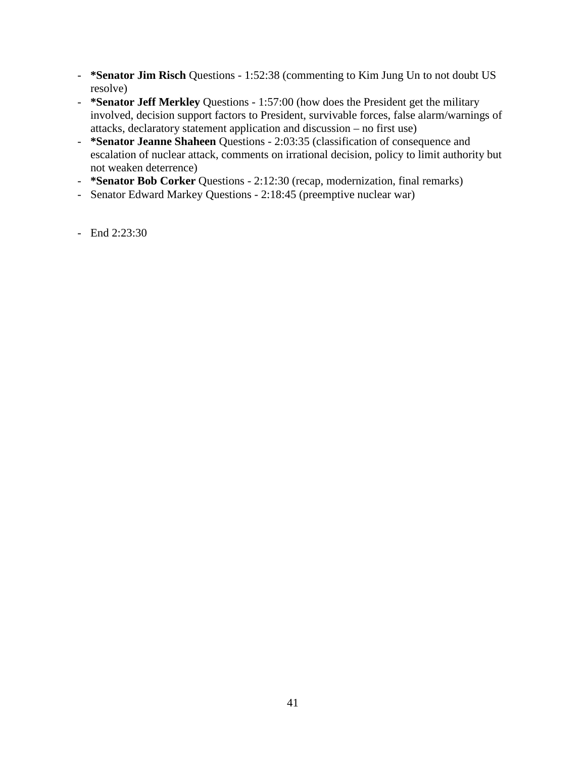- **\*Senator Jim Risch** Questions 1:52:38 (commenting to Kim Jung Un to not doubt US resolve)
- **\*Senator Jeff Merkley** Questions 1:57:00 (how does the President get the military involved, decision support factors to President, survivable forces, false alarm/warnings of attacks, declaratory statement application and discussion – no first use)
- **\*Senator Jeanne Shaheen** Questions 2:03:35 (classification of consequence and escalation of nuclear attack, comments on irrational decision, policy to limit authority but not weaken deterrence)
- **\*Senator Bob Corker** Questions 2:12:30 (recap, modernization, final remarks)
- Senator Edward Markey Questions 2:18:45 (preemptive nuclear war)
- End 2:23:30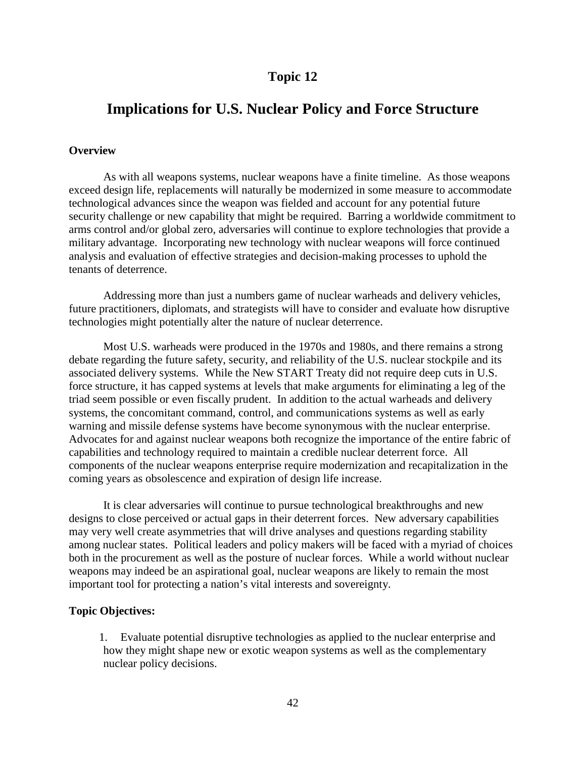## **Implications for U.S. Nuclear Policy and Force Structure**

#### **Overview**

As with all weapons systems, nuclear weapons have a finite timeline. As those weapons exceed design life, replacements will naturally be modernized in some measure to accommodate technological advances since the weapon was fielded and account for any potential future security challenge or new capability that might be required. Barring a worldwide commitment to arms control and/or global zero, adversaries will continue to explore technologies that provide a military advantage. Incorporating new technology with nuclear weapons will force continued analysis and evaluation of effective strategies and decision-making processes to uphold the tenants of deterrence.

Addressing more than just a numbers game of nuclear warheads and delivery vehicles, future practitioners, diplomats, and strategists will have to consider and evaluate how disruptive technologies might potentially alter the nature of nuclear deterrence.

Most U.S. warheads were produced in the 1970s and 1980s, and there remains a strong debate regarding the future safety, security, and reliability of the U.S. nuclear stockpile and its associated delivery systems. While the New START Treaty did not require deep cuts in U.S. force structure, it has capped systems at levels that make arguments for eliminating a leg of the triad seem possible or even fiscally prudent. In addition to the actual warheads and delivery systems, the concomitant command, control, and communications systems as well as early warning and missile defense systems have become synonymous with the nuclear enterprise. Advocates for and against nuclear weapons both recognize the importance of the entire fabric of capabilities and technology required to maintain a credible nuclear deterrent force. All components of the nuclear weapons enterprise require modernization and recapitalization in the coming years as obsolescence and expiration of design life increase.

It is clear adversaries will continue to pursue technological breakthroughs and new designs to close perceived or actual gaps in their deterrent forces. New adversary capabilities may very well create asymmetries that will drive analyses and questions regarding stability among nuclear states. Political leaders and policy makers will be faced with a myriad of choices both in the procurement as well as the posture of nuclear forces. While a world without nuclear weapons may indeed be an aspirational goal, nuclear weapons are likely to remain the most important tool for protecting a nation's vital interests and sovereignty.

#### **Topic Objectives:**

1. Evaluate potential disruptive technologies as applied to the nuclear enterprise and how they might shape new or exotic weapon systems as well as the complementary nuclear policy decisions.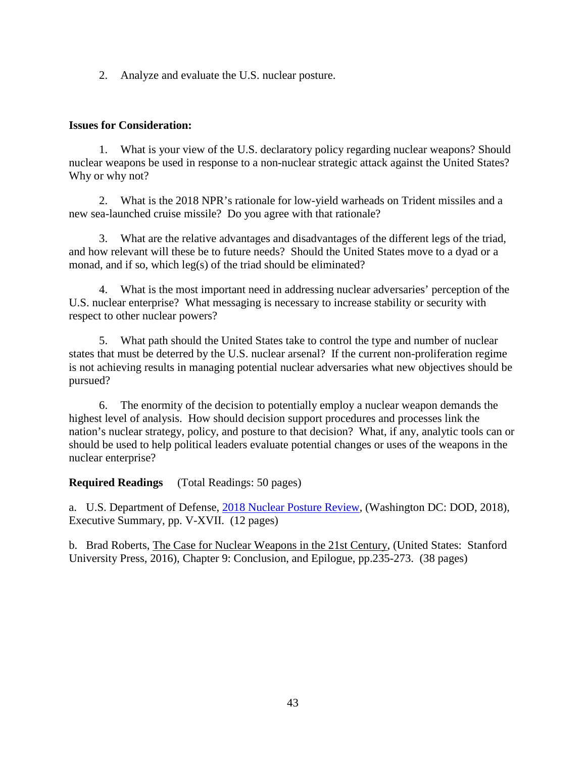2. Analyze and evaluate the U.S. nuclear posture.

#### **Issues for Consideration:**

1. What is your view of the U.S. declaratory policy regarding nuclear weapons? Should nuclear weapons be used in response to a non-nuclear strategic attack against the United States? Why or why not?

2. What is the 2018 NPR's rationale for low-yield warheads on Trident missiles and a new sea-launched cruise missile? Do you agree with that rationale?

3. What are the relative advantages and disadvantages of the different legs of the triad, and how relevant will these be to future needs? Should the United States move to a dyad or a monad, and if so, which leg(s) of the triad should be eliminated?

4. What is the most important need in addressing nuclear adversaries' perception of the U.S. nuclear enterprise? What messaging is necessary to increase stability or security with respect to other nuclear powers?

5. What path should the United States take to control the type and number of nuclear states that must be deterred by the U.S. nuclear arsenal? If the current non-proliferation regime is not achieving results in managing potential nuclear adversaries what new objectives should be pursued?

6. The enormity of the decision to potentially employ a nuclear weapon demands the highest level of analysis. How should decision support procedures and processes link the nation's nuclear strategy, policy, and posture to that decision? What, if any, analytic tools can or should be used to help political leaders evaluate potential changes or uses of the weapons in the nuclear enterprise?

### **Required Readings** (Total Readings: 50 pages)

a. U.S. Department of Defense, [2018 Nuclear Posture Review,](https://media.defense.gov/2018/Feb/02/2001872886/-1/-1/1/2018-NUCLEAR-POSTURE-REVIEW-FINAL-REPORT.PDF) (Washington DC: DOD, 2018), Executive Summary, pp. V-XVII. (12 pages)

b. Brad Roberts, The Case for Nuclear Weapons in the 21st Century, (United States: Stanford University Press, 2016), Chapter 9: Conclusion, and Epilogue, pp.235-273. (38 pages)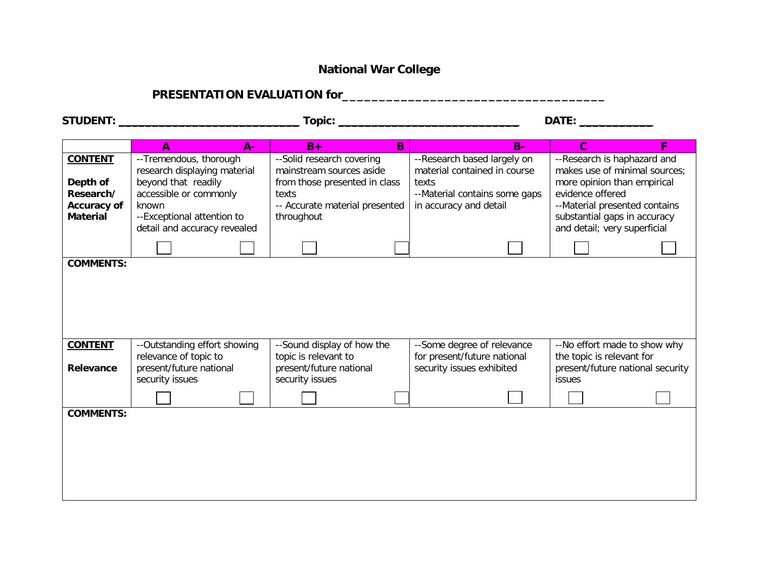## **National War College**

# **PRESENTATION EVALUATION for\_\_\_\_\_\_\_\_\_\_\_\_\_\_\_\_\_\_\_\_\_\_\_\_\_\_\_\_\_\_\_\_\_\_\_\_**

|                                | A<br>$A -$                                                                       | $B+$<br><sub>B</sub>                                                          | $B -$                                                                                  | $\mathbf{C}$<br>F                                                                             |  |
|--------------------------------|----------------------------------------------------------------------------------|-------------------------------------------------------------------------------|----------------------------------------------------------------------------------------|-----------------------------------------------------------------------------------------------|--|
| <b>CONTENT</b>                 | -- Tremendous, thorough<br>research displaying material                          | --Solid research covering<br>mainstream sources aside                         | --Research based largely on<br>material contained in course                            | --Research is haphazard and<br>makes use of minimal sources;                                  |  |
| Depth of<br>Research/          | beyond that readily<br>accessible or commonly                                    | from those presented in class<br>texts                                        | texts<br>--Material contains some gaps                                                 | more opinion than empirical<br>evidence offered                                               |  |
| Accuracy of<br><b>Material</b> | known<br>--Exceptional attention to<br>detail and accuracy revealed              | -- Accurate material presented<br>throughout                                  | in accuracy and detail                                                                 | --Material presented contains<br>substantial gaps in accuracy<br>and detail; very superficial |  |
|                                |                                                                                  |                                                                               |                                                                                        |                                                                                               |  |
|                                |                                                                                  |                                                                               |                                                                                        |                                                                                               |  |
| <b>CONTENT</b><br>Relevance    | --Outstanding effort showing<br>relevance of topic to<br>present/future national | --Sound display of how the<br>topic is relevant to<br>present/future national | --Some degree of relevance<br>for present/future national<br>security issues exhibited | --No effort made to show why<br>the topic is relevant for<br>present/future national security |  |
|                                | security issues                                                                  | security issues                                                               |                                                                                        | issues                                                                                        |  |
| <b>COMMENTS:</b>               |                                                                                  |                                                                               |                                                                                        |                                                                                               |  |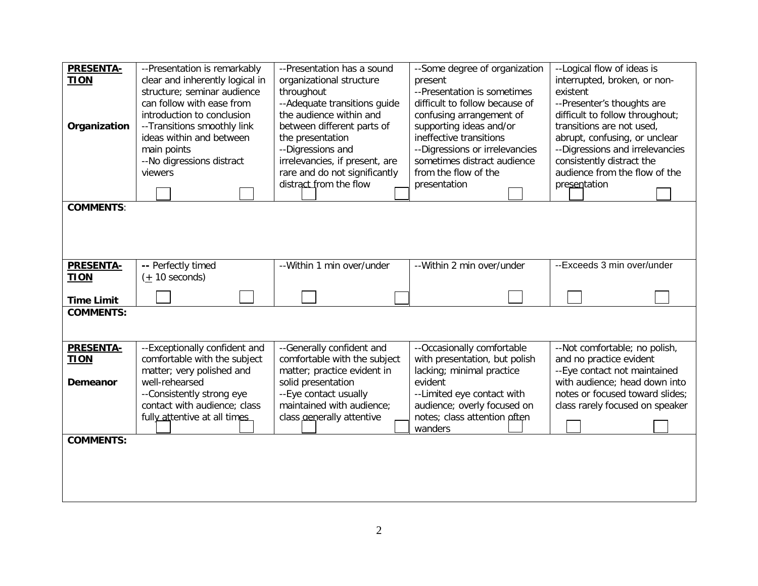| <b>PRESENTA-</b><br><b>TION</b><br>Organization | --Presentation is remarkably<br>clear and inherently logical in<br>structure; seminar audience<br>can follow with ease from<br>introduction to conclusion<br>--Transitions smoothly link<br>ideas within and between<br>main points<br>--No digressions distract<br>viewers | --Presentation has a sound<br>organizational structure<br>throughout<br>-- Adequate transitions guide<br>the audience within and<br>between different parts of<br>the presentation<br>--Digressions and<br>irrelevancies, if present, are<br>rare and do not significantly<br>distract from the flow | --Some degree of organization<br>present<br>--Presentation is sometimes<br>difficult to follow because of<br>confusing arrangement of<br>supporting ideas and/or<br>ineffective transitions<br>--Digressions or irrelevancies<br>sometimes distract audience<br>from the flow of the<br>presentation | --Logical flow of ideas is<br>interrupted, broken, or non-<br>existent<br>--Presenter's thoughts are<br>difficult to follow throughout;<br>transitions are not used,<br>abrupt, confusing, or unclear<br>--Digressions and irrelevancies<br>consistently distract the<br>audience from the flow of the<br>presentation |  |
|-------------------------------------------------|-----------------------------------------------------------------------------------------------------------------------------------------------------------------------------------------------------------------------------------------------------------------------------|------------------------------------------------------------------------------------------------------------------------------------------------------------------------------------------------------------------------------------------------------------------------------------------------------|------------------------------------------------------------------------------------------------------------------------------------------------------------------------------------------------------------------------------------------------------------------------------------------------------|------------------------------------------------------------------------------------------------------------------------------------------------------------------------------------------------------------------------------------------------------------------------------------------------------------------------|--|
| <b>COMMENTS:</b>                                |                                                                                                                                                                                                                                                                             |                                                                                                                                                                                                                                                                                                      |                                                                                                                                                                                                                                                                                                      |                                                                                                                                                                                                                                                                                                                        |  |
|                                                 |                                                                                                                                                                                                                                                                             |                                                                                                                                                                                                                                                                                                      |                                                                                                                                                                                                                                                                                                      |                                                                                                                                                                                                                                                                                                                        |  |
| <b>PRESENTA-</b>                                | -- Perfectly timed                                                                                                                                                                                                                                                          | --Within 1 min over/under                                                                                                                                                                                                                                                                            | -- Within 2 min over/under                                                                                                                                                                                                                                                                           | --Exceeds 3 min over/under                                                                                                                                                                                                                                                                                             |  |
| <b>TION</b>                                     | $(1 + 10$ seconds)                                                                                                                                                                                                                                                          |                                                                                                                                                                                                                                                                                                      |                                                                                                                                                                                                                                                                                                      |                                                                                                                                                                                                                                                                                                                        |  |
| <b>Time Limit</b>                               |                                                                                                                                                                                                                                                                             |                                                                                                                                                                                                                                                                                                      |                                                                                                                                                                                                                                                                                                      |                                                                                                                                                                                                                                                                                                                        |  |
| <b>COMMENTS:</b>                                |                                                                                                                                                                                                                                                                             |                                                                                                                                                                                                                                                                                                      |                                                                                                                                                                                                                                                                                                      |                                                                                                                                                                                                                                                                                                                        |  |
| <b>PRESENTA-</b>                                | --Exceptionally confident and                                                                                                                                                                                                                                               | --Generally confident and                                                                                                                                                                                                                                                                            | --Occasionally comfortable                                                                                                                                                                                                                                                                           | --Not comfortable; no polish,                                                                                                                                                                                                                                                                                          |  |
| <b>TION</b>                                     | comfortable with the subject                                                                                                                                                                                                                                                | comfortable with the subject                                                                                                                                                                                                                                                                         | with presentation, but polish                                                                                                                                                                                                                                                                        | and no practice evident                                                                                                                                                                                                                                                                                                |  |
| Demeanor                                        | matter; very polished and<br>well-rehearsed                                                                                                                                                                                                                                 | matter; practice evident in<br>solid presentation                                                                                                                                                                                                                                                    | lacking; minimal practice<br>evident                                                                                                                                                                                                                                                                 | --Eye contact not maintained<br>with audience; head down into                                                                                                                                                                                                                                                          |  |
|                                                 | --Consistently strong eye                                                                                                                                                                                                                                                   | --Eye contact usually                                                                                                                                                                                                                                                                                | --Limited eye contact with                                                                                                                                                                                                                                                                           | notes or focused toward slides;                                                                                                                                                                                                                                                                                        |  |
|                                                 | contact with audience; class                                                                                                                                                                                                                                                | maintained with audience;                                                                                                                                                                                                                                                                            | audience; overly focused on                                                                                                                                                                                                                                                                          | class rarely focused on speaker                                                                                                                                                                                                                                                                                        |  |
|                                                 | fully attentive at all times                                                                                                                                                                                                                                                | class aenerally attentive                                                                                                                                                                                                                                                                            | notes; class attention often<br>wanders                                                                                                                                                                                                                                                              |                                                                                                                                                                                                                                                                                                                        |  |
| <b>COMMENTS:</b>                                |                                                                                                                                                                                                                                                                             |                                                                                                                                                                                                                                                                                                      |                                                                                                                                                                                                                                                                                                      |                                                                                                                                                                                                                                                                                                                        |  |
|                                                 |                                                                                                                                                                                                                                                                             |                                                                                                                                                                                                                                                                                                      |                                                                                                                                                                                                                                                                                                      |                                                                                                                                                                                                                                                                                                                        |  |
|                                                 |                                                                                                                                                                                                                                                                             |                                                                                                                                                                                                                                                                                                      |                                                                                                                                                                                                                                                                                                      |                                                                                                                                                                                                                                                                                                                        |  |
|                                                 |                                                                                                                                                                                                                                                                             |                                                                                                                                                                                                                                                                                                      |                                                                                                                                                                                                                                                                                                      |                                                                                                                                                                                                                                                                                                                        |  |
|                                                 |                                                                                                                                                                                                                                                                             |                                                                                                                                                                                                                                                                                                      |                                                                                                                                                                                                                                                                                                      |                                                                                                                                                                                                                                                                                                                        |  |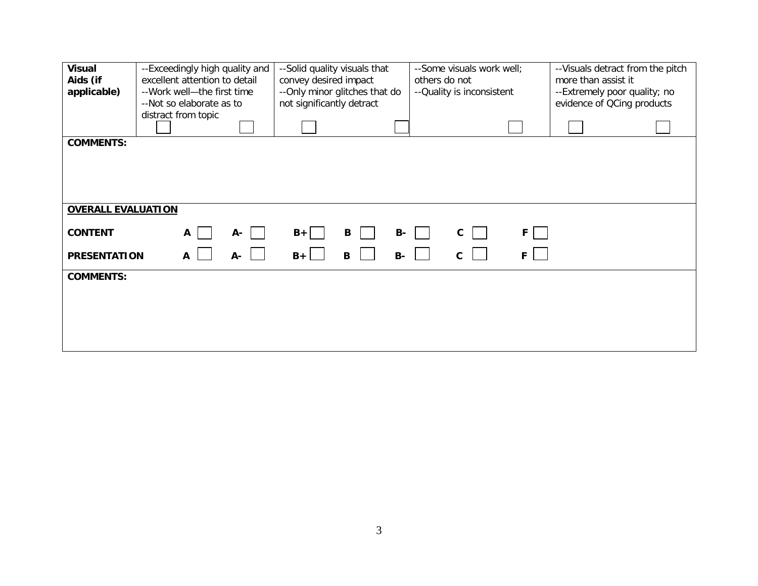| <b>Visual</b><br>Aids (if<br>applicable) | --Exceedingly high quality and<br>excellent attention to detail<br>--Work well-the first time<br>--Not so elaborate as to | --Solid quality visuals that<br>convey desired impact<br>-- Only minor glitches that do<br>not significantly detract | --Some visuals work well;<br>others do not<br>-- Quality is inconsistent | -- Visuals detract from the pitch<br>more than assist it<br>--Extremely poor quality; no<br>evidence of QCing products |  |
|------------------------------------------|---------------------------------------------------------------------------------------------------------------------------|----------------------------------------------------------------------------------------------------------------------|--------------------------------------------------------------------------|------------------------------------------------------------------------------------------------------------------------|--|
|                                          | distract from topic                                                                                                       |                                                                                                                      |                                                                          |                                                                                                                        |  |
| <b>COMMENTS:</b>                         |                                                                                                                           |                                                                                                                      |                                                                          |                                                                                                                        |  |
|                                          |                                                                                                                           |                                                                                                                      |                                                                          |                                                                                                                        |  |
|                                          |                                                                                                                           |                                                                                                                      |                                                                          |                                                                                                                        |  |
| <b>OVERALL EVALUATION</b>                |                                                                                                                           |                                                                                                                      |                                                                          |                                                                                                                        |  |
| <b>CONTENT</b>                           | A-<br>A                                                                                                                   | B<br>$B+$<br><b>B-</b>                                                                                               | $\mathbf{c}$<br>F.                                                       |                                                                                                                        |  |
| <b>PRESENTATION</b>                      | A-<br>A                                                                                                                   | $B +$<br>$\mathbf B$<br><b>B-</b>                                                                                    | $\mathbf{C}$<br>F                                                        |                                                                                                                        |  |
| <b>COMMENTS:</b>                         |                                                                                                                           |                                                                                                                      |                                                                          |                                                                                                                        |  |
|                                          |                                                                                                                           |                                                                                                                      |                                                                          |                                                                                                                        |  |
|                                          |                                                                                                                           |                                                                                                                      |                                                                          |                                                                                                                        |  |
|                                          |                                                                                                                           |                                                                                                                      |                                                                          |                                                                                                                        |  |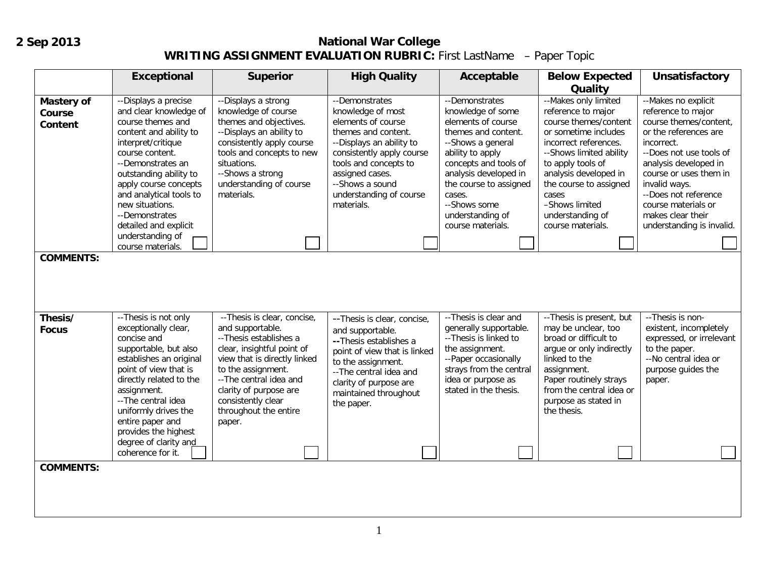## **2 Sep 2013**

### **National War College WRITING ASSIGNMENT EVALUATION RUBRIC:** First LastName – Paper Topic

|                                                                   | <b>Exceptional</b>                                                                                                                                                                                                                                                                                                                               | <b>Superior</b>                                                                                                                                                                                                                                                            | <b>High Quality</b>                                                                                                                                                                                                                               | Acceptable                                                                                                                                                                                                                                                               | <b>Below Expected</b><br>Quality                                                                                                                                                                                                                                                            | <b>Unsatisfactory</b>                                                                                                                                                                                                                                                                                      |
|-------------------------------------------------------------------|--------------------------------------------------------------------------------------------------------------------------------------------------------------------------------------------------------------------------------------------------------------------------------------------------------------------------------------------------|----------------------------------------------------------------------------------------------------------------------------------------------------------------------------------------------------------------------------------------------------------------------------|---------------------------------------------------------------------------------------------------------------------------------------------------------------------------------------------------------------------------------------------------|--------------------------------------------------------------------------------------------------------------------------------------------------------------------------------------------------------------------------------------------------------------------------|---------------------------------------------------------------------------------------------------------------------------------------------------------------------------------------------------------------------------------------------------------------------------------------------|------------------------------------------------------------------------------------------------------------------------------------------------------------------------------------------------------------------------------------------------------------------------------------------------------------|
| <b>Mastery of</b><br>Course<br><b>Content</b><br><b>COMMENTS:</b> | --Displays a precise<br>and clear knowledge of<br>course themes and<br>content and ability to<br>interpret/critique<br>course content.<br>--Demonstrates an<br>outstanding ability to<br>apply course concepts<br>and analytical tools to<br>new situations.<br>--Demonstrates<br>detailed and explicit<br>understanding of<br>course materials. | --Displays a strong<br>knowledge of course<br>themes and objectives.<br>--Displays an ability to<br>consistently apply course<br>tools and concepts to new<br>situations.<br>--Shows a strong<br>understanding of course<br>materials.                                     | --Demonstrates<br>knowledge of most<br>elements of course<br>themes and content.<br>--Displays an ability to<br>consistently apply course<br>tools and concepts to<br>assigned cases.<br>--Shows a sound<br>understanding of course<br>materials. | --Demonstrates<br>knowledge of some<br>elements of course<br>themes and content.<br>--Shows a general<br>ability to apply<br>concepts and tools of<br>analysis developed in<br>the course to assigned<br>cases.<br>--Shows some<br>understanding of<br>course materials. | --Makes only limited<br>reference to major<br>course themes/content<br>or sometime includes<br>incorrect references.<br>--Shows limited ability<br>to apply tools of<br>analysis developed in<br>the course to assigned<br>cases<br>-Shows limited<br>understanding of<br>course materials. | --Makes no explicit<br>reference to major<br>course themes/content,<br>or the references are<br>incorrect.<br>--Does not use tools of<br>analysis developed in<br>course or uses them in<br>invalid ways.<br>--Does not reference<br>course materials or<br>makes clear their<br>understanding is invalid. |
|                                                                   |                                                                                                                                                                                                                                                                                                                                                  |                                                                                                                                                                                                                                                                            |                                                                                                                                                                                                                                                   |                                                                                                                                                                                                                                                                          |                                                                                                                                                                                                                                                                                             |                                                                                                                                                                                                                                                                                                            |
| Thesis/<br><b>Focus</b>                                           | -- Thesis is not only<br>exceptionally clear,<br>concise and<br>supportable, but also<br>establishes an original<br>point of view that is<br>directly related to the<br>assignment.<br>--The central idea<br>uniformly drives the<br>entire paper and<br>provides the highest<br>degree of clarity and<br>coherence for it.                      | --Thesis is clear, concise,<br>and supportable.<br>--Thesis establishes a<br>clear, insightful point of<br>view that is directly linked<br>to the assignment.<br>--The central idea and<br>clarity of purpose are<br>consistently clear<br>throughout the entire<br>paper. | -- Thesis is clear, concise,<br>and supportable.<br>-- Thesis establishes a<br>point of view that is linked<br>to the assignment.<br>--The central idea and<br>clarity of purpose are<br>maintained throughout<br>the paper.                      | -- Thesis is clear and<br>generally supportable.<br>-- Thesis is linked to<br>the assignment.<br>--Paper occasionally<br>strays from the central<br>idea or purpose as<br>stated in the thesis.                                                                          | -- Thesis is present, but<br>may be unclear, too<br>broad or difficult to<br>argue or only indirectly<br>linked to the<br>assignment.<br>Paper routinely strays<br>from the central idea or<br>purpose as stated in<br>the thesis.                                                          | --Thesis is non-<br>existent, incompletely<br>expressed, or irrelevant<br>to the paper.<br>--No central idea or<br>purpose guides the<br>paper.                                                                                                                                                            |
| <b>COMMENTS:</b>                                                  |                                                                                                                                                                                                                                                                                                                                                  |                                                                                                                                                                                                                                                                            |                                                                                                                                                                                                                                                   |                                                                                                                                                                                                                                                                          |                                                                                                                                                                                                                                                                                             |                                                                                                                                                                                                                                                                                                            |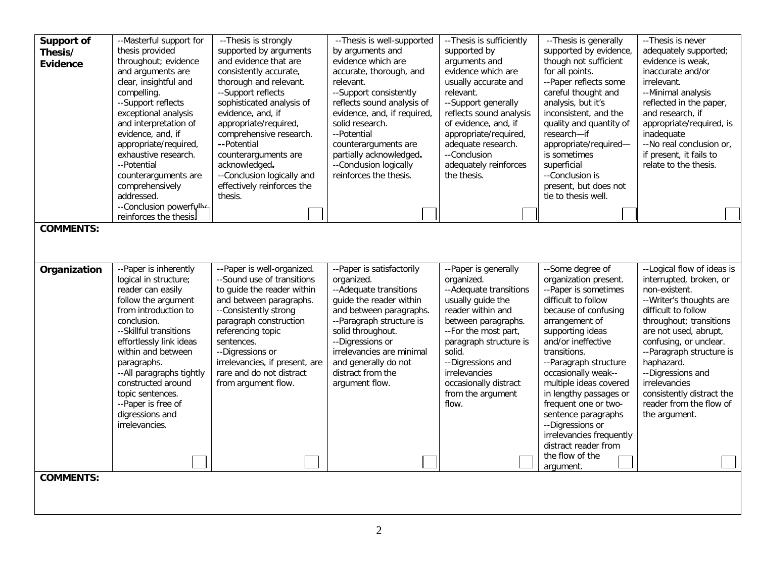| Support of<br>Thesis/<br><b>Evidence</b> | --Masterful support for<br>thesis provided<br>throughout; evidence<br>and arguments are<br>clear, insightful and<br>compelling.<br>--Support reflects<br>exceptional analysis<br>and interpretation of<br>evidence, and, if<br>appropriate/required,<br>exhaustive research.<br>--Potential                                                                  | --Thesis is strongly<br>supported by arguments<br>and evidence that are<br>consistently accurate,<br>thorough and relevant.<br>--Support reflects<br>sophisticated analysis of<br>evidence, and, if<br>appropriate/required,<br>comprehensive research.<br>--Potential<br>counterarguments are<br>acknowledged.  | --Thesis is well-supported<br>by arguments and<br>evidence which are<br>accurate, thorough, and<br>relevant.<br>--Support consistently<br>reflects sound analysis of<br>evidence, and, if required,<br>solid research.<br>--Potential<br>counterarguments are<br>partially acknowledged.<br>--Conclusion logically | -- Thesis is sufficiently<br>supported by<br>arguments and<br>evidence which are<br>usually accurate and<br>relevant.<br>--Support generally<br>reflects sound analysis<br>of evidence, and, if<br>appropriate/required,<br>adequate research.<br>--Conclusion<br>adequately reinforces | -- Thesis is generally<br>supported by evidence<br>though not sufficient<br>for all points.<br>--Paper reflects some<br>careful thought and<br>analysis, but it's<br>inconsistent, and the<br>quality and quantity of<br>research-if<br>appropriate/required-<br>is sometimes<br>superficial                                                                                                                                                            | -- Thesis is never<br>adequately supported;<br>evidence is weak,<br>inaccurate and/or<br>irrelevant.<br>--Minimal analysis<br>reflected in the paper,<br>and research, if<br>appropriate/required, is<br>inadequate<br>--No real conclusion or,<br>if present, it fails to<br>relate to the thesis.                                                              |
|------------------------------------------|--------------------------------------------------------------------------------------------------------------------------------------------------------------------------------------------------------------------------------------------------------------------------------------------------------------------------------------------------------------|------------------------------------------------------------------------------------------------------------------------------------------------------------------------------------------------------------------------------------------------------------------------------------------------------------------|--------------------------------------------------------------------------------------------------------------------------------------------------------------------------------------------------------------------------------------------------------------------------------------------------------------------|-----------------------------------------------------------------------------------------------------------------------------------------------------------------------------------------------------------------------------------------------------------------------------------------|---------------------------------------------------------------------------------------------------------------------------------------------------------------------------------------------------------------------------------------------------------------------------------------------------------------------------------------------------------------------------------------------------------------------------------------------------------|------------------------------------------------------------------------------------------------------------------------------------------------------------------------------------------------------------------------------------------------------------------------------------------------------------------------------------------------------------------|
|                                          | counterarguments are<br>comprehensively                                                                                                                                                                                                                                                                                                                      | --Conclusion logically and<br>effectively reinforces the                                                                                                                                                                                                                                                         | reinforces the thesis.                                                                                                                                                                                                                                                                                             | the thesis.                                                                                                                                                                                                                                                                             | --Conclusion is<br>present, but does not                                                                                                                                                                                                                                                                                                                                                                                                                |                                                                                                                                                                                                                                                                                                                                                                  |
|                                          | addressed.                                                                                                                                                                                                                                                                                                                                                   | thesis.                                                                                                                                                                                                                                                                                                          |                                                                                                                                                                                                                                                                                                                    |                                                                                                                                                                                                                                                                                         | tie to thesis well.                                                                                                                                                                                                                                                                                                                                                                                                                                     |                                                                                                                                                                                                                                                                                                                                                                  |
|                                          | --Conclusion powerfully<br>reinforces the thesis.                                                                                                                                                                                                                                                                                                            |                                                                                                                                                                                                                                                                                                                  |                                                                                                                                                                                                                                                                                                                    |                                                                                                                                                                                                                                                                                         |                                                                                                                                                                                                                                                                                                                                                                                                                                                         |                                                                                                                                                                                                                                                                                                                                                                  |
| <b>COMMENTS:</b>                         |                                                                                                                                                                                                                                                                                                                                                              |                                                                                                                                                                                                                                                                                                                  |                                                                                                                                                                                                                                                                                                                    |                                                                                                                                                                                                                                                                                         |                                                                                                                                                                                                                                                                                                                                                                                                                                                         |                                                                                                                                                                                                                                                                                                                                                                  |
|                                          |                                                                                                                                                                                                                                                                                                                                                              |                                                                                                                                                                                                                                                                                                                  |                                                                                                                                                                                                                                                                                                                    |                                                                                                                                                                                                                                                                                         |                                                                                                                                                                                                                                                                                                                                                                                                                                                         |                                                                                                                                                                                                                                                                                                                                                                  |
| Organization<br><b>COMMENTS:</b>         | --Paper is inherently<br>logical in structure;<br>reader can easily<br>follow the argument<br>from introduction to<br>conclusion.<br>--Skillful transitions<br>effortlessly link ideas<br>within and between<br>paragraphs.<br>--All paragraphs tightly<br>constructed around<br>topic sentences.<br>--Paper is free of<br>digressions and<br>irrelevancies. | --Paper is well-organized.<br>--Sound use of transitions<br>to guide the reader within<br>and between paragraphs.<br>--Consistently strong<br>paragraph construction<br>referencing topic<br>sentences.<br>--Digressions or<br>irrelevancies, if present, are<br>rare and do not distract<br>from argument flow. | --Paper is satisfactorily<br>organized.<br>--Adequate transitions<br>quide the reader within<br>and between paragraphs.<br>--Paragraph structure is<br>solid throughout.<br>--Digressions or<br>irrelevancies are minimal<br>and generally do not<br>distract from the<br>argument flow.                           | --Paper is generally<br>organized.<br>--Adequate transitions<br>usually guide the<br>reader within and<br>between paragraphs.<br>--For the most part,<br>paragraph structure is<br>solid.<br>--Digressions and<br>irrelevancies<br>occasionally distract<br>from the argument<br>flow.  | --Some degree of<br>organization present.<br>--Paper is sometimes<br>difficult to follow<br>because of confusing<br>arrangement of<br>supporting ideas<br>and/or ineffective<br>transitions.<br>--Paragraph structure<br>occasionally weak--<br>multiple ideas covered<br>in lengthy passages or<br>frequent one or two-<br>sentence paragraphs<br>--Digressions or<br>irrelevancies frequently<br>distract reader from<br>the flow of the<br>argument. | --Logical flow of ideas is<br>interrupted, broken, or<br>non-existent.<br>-- Writer's thoughts are<br>difficult to follow<br>throughout; transitions<br>are not used, abrupt,<br>confusing, or unclear.<br>--Paragraph structure is<br>haphazard.<br>--Digressions and<br>irrelevancies<br>consistently distract the<br>reader from the flow of<br>the argument. |
|                                          |                                                                                                                                                                                                                                                                                                                                                              |                                                                                                                                                                                                                                                                                                                  |                                                                                                                                                                                                                                                                                                                    |                                                                                                                                                                                                                                                                                         |                                                                                                                                                                                                                                                                                                                                                                                                                                                         |                                                                                                                                                                                                                                                                                                                                                                  |